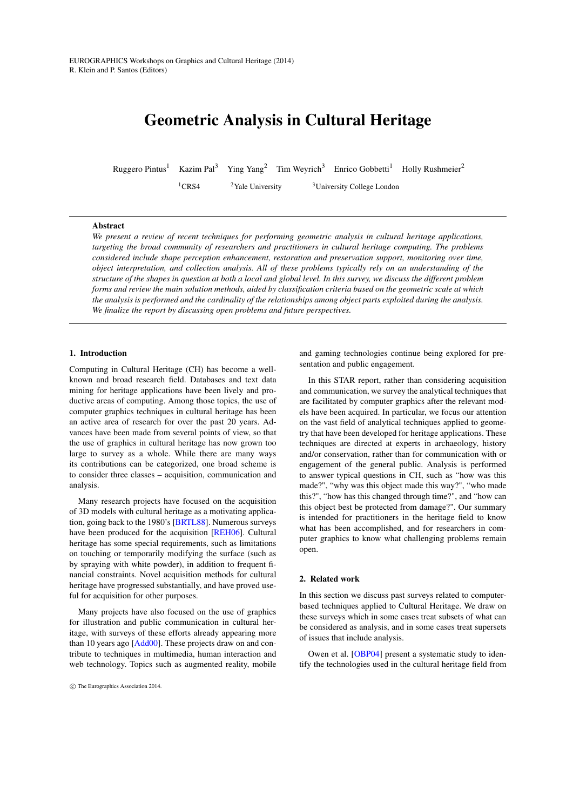# <span id="page-0-0"></span>Geometric Analysis in Cultural Heritage

Ruggero Pintus<sup>1</sup> Kazim Pal<sup>3</sup> Ying Yang<sup>2</sup> Tim Weyrich<sup>3</sup> Enrico Gobbetti<sup>1</sup> Holly Rushmeier<sup>2</sup>

<sup>1</sup>CRS4 <sup>2</sup>Yale University <sup>3</sup>University College London

### Abstract

*We present a review of recent techniques for performing geometric analysis in cultural heritage applications, targeting the broad community of researchers and practitioners in cultural heritage computing. The problems considered include shape perception enhancement, restoration and preservation support, monitoring over time, object interpretation, and collection analysis. All of these problems typically rely on an understanding of the structure of the shapes in question at both a local and global level. In this survey, we discuss the different problem forms and review the main solution methods, aided by classification criteria based on the geometric scale at which the analysis is performed and the cardinality of the relationships among object parts exploited during the analysis. We finalize the report by discussing open problems and future perspectives.*

## 1. Introduction

Computing in Cultural Heritage (CH) has become a wellknown and broad research field. Databases and text data mining for heritage applications have been lively and productive areas of computing. Among those topics, the use of computer graphics techniques in cultural heritage has been an active area of research for over the past 20 years. Advances have been made from several points of view, so that the use of graphics in cultural heritage has now grown too large to survey as a whole. While there are many ways its contributions can be categorized, one broad scheme is to consider three classes – acquisition, communication and analysis.

Many research projects have focused on the acquisition of 3D models with cultural heritage as a motivating application, going back to the 1980's [\[BRTL88\]](#page-12-0). Numerous surveys have been produced for the acquisition [\[REH06\]](#page-15-0). Cultural heritage has some special requirements, such as limitations on touching or temporarily modifying the surface (such as by spraying with white powder), in addition to frequent financial constraints. Novel acquisition methods for cultural heritage have progressed substantially, and have proved useful for acquisition for other purposes.

Many projects have also focused on the use of graphics for illustration and public communication in cultural heritage, with surveys of these efforts already appearing more than 10 years ago [\[Add00\]](#page-12-1). These projects draw on and contribute to techniques in multimedia, human interaction and web technology. Topics such as augmented reality, mobile and gaming technologies continue being explored for presentation and public engagement.

In this STAR report, rather than considering acquisition and communication, we survey the analytical techniques that are facilitated by computer graphics after the relevant models have been acquired. In particular, we focus our attention on the vast field of analytical techniques applied to geometry that have been developed for heritage applications. These techniques are directed at experts in archaeology, history and/or conservation, rather than for communication with or engagement of the general public. Analysis is performed to answer typical questions in CH, such as "how was this made?", "why was this object made this way?", "who made this?", "how has this changed through time?", and "how can this object best be protected from damage?". Our summary is intended for practitioners in the heritage field to know what has been accomplished, and for researchers in computer graphics to know what challenging problems remain open.

#### 2. Related work

In this section we discuss past surveys related to computerbased techniques applied to Cultural Heritage. We draw on these surveys which in some cases treat subsets of what can be considered as analysis, and in some cases treat supersets of issues that include analysis.

Owen et al. [\[OBP04\]](#page-15-1) present a systematic study to identify the technologies used in the cultural heritage field from

c The Eurographics Association 2014.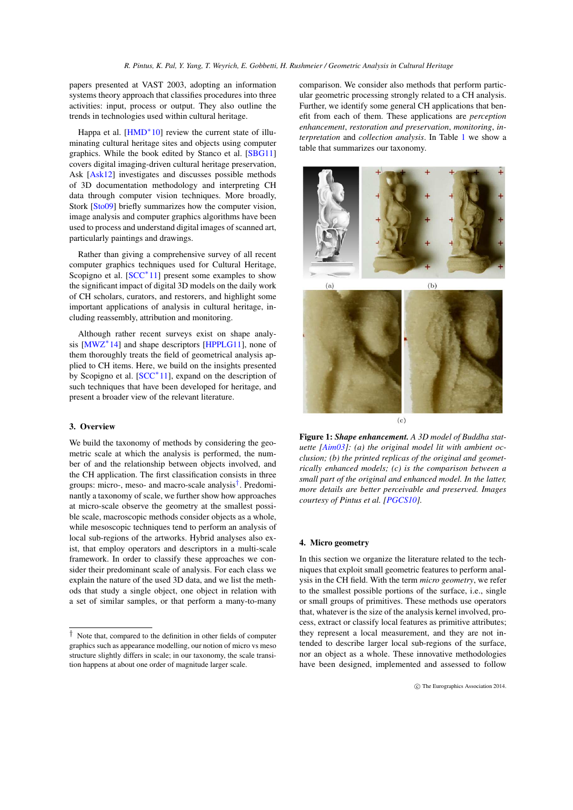<span id="page-1-2"></span>papers presented at VAST 2003, adopting an information systems theory approach that classifies procedures into three activities: input, process or output. They also outline the trends in technologies used within cultural heritage.

Happa et al. [\[HMD](#page-13-0)<sup>\*</sup>10] review the current state of illuminating cultural heritage sites and objects using computer graphics. While the book edited by Stanco et al. [\[SBG11\]](#page-15-2) covers digital imaging-driven cultural heritage preservation, Ask [\[Ask12\]](#page-12-2) investigates and discusses possible methods of 3D documentation methodology and interpreting CH data through computer vision techniques. More broadly, Stork [\[Sto09\]](#page-16-0) briefly summarizes how the computer vision, image analysis and computer graphics algorithms have been used to process and understand digital images of scanned art, particularly paintings and drawings.

Rather than giving a comprehensive survey of all recent computer graphics techniques used for Cultural Heritage, Scopigno et al. [\[SCC](#page-15-3)<sup>∗</sup>11] present some examples to show the significant impact of digital 3D models on the daily work of CH scholars, curators, and restorers, and highlight some important applications of analysis in cultural heritage, including reassembly, attribution and monitoring.

Although rather recent surveys exist on shape analy-sis [\[MWZ](#page-15-4)<sup>\*</sup>14] and shape descriptors [\[HPPLG11\]](#page-13-1), none of them thoroughly treats the field of geometrical analysis applied to CH items. Here, we build on the insights presented by Scopigno et al. [\[SCC](#page-15-3)<sup>\*</sup>11], expand on the description of such techniques that have been developed for heritage, and present a broader view of the relevant literature.

# 3. Overview

We build the taxonomy of methods by considering the geometric scale at which the analysis is performed, the number of and the relationship between objects involved, and the CH application. The first classification consists in three groups: micro-, meso- and macro-scale analysis[†](#page-1-0) . Predominantly a taxonomy of scale, we further show how approaches at micro-scale observe the geometry at the smallest possible scale, macroscopic methods consider objects as a whole, while mesoscopic techniques tend to perform an analysis of local sub-regions of the artworks. Hybrid analyses also exist, that employ operators and descriptors in a multi-scale framework. In order to classify these approaches we consider their predominant scale of analysis. For each class we explain the nature of the used 3D data, and we list the methods that study a single object, one object in relation with a set of similar samples, or that perform a many-to-many

comparison. We consider also methods that perform particular geometric processing strongly related to a CH analysis. Further, we identify some general CH applications that benefit from each of them. These applications are *perception enhancement*, *restoration and preservation*, *monitoring*, *interpretation* and *collection analysis*. In Table [1](#page-2-0) we show a table that summarizes our taxonomy.



<span id="page-1-1"></span>Figure 1: *Shape enhancement. A 3D model of Buddha statuette [\[Aim03\]](#page-12-3): (a) the original model lit with ambient occlusion; (b) the printed replicas of the original and geometrically enhanced models; (c) is the comparison between a small part of the original and enhanced model. In the latter, more details are better perceivable and preserved. Images courtesy of Pintus et al. [\[PGCS10\]](#page-15-5).*

# 4. Micro geometry

In this section we organize the literature related to the techniques that exploit small geometric features to perform analysis in the CH field. With the term *micro geometry*, we refer to the smallest possible portions of the surface, i.e., single or small groups of primitives. These methods use operators that, whatever is the size of the analysis kernel involved, process, extract or classify local features as primitive attributes; they represent a local measurement, and they are not intended to describe larger local sub-regions of the surface, nor an object as a whole. These innovative methodologies have been designed, implemented and assessed to follow

<span id="page-1-0"></span><sup>†</sup> Note that, compared to the definition in other fields of computer graphics such as appearance modelling, our notion of micro vs meso structure slightly differs in scale; in our taxonomy, the scale transition happens at about one order of magnitude larger scale.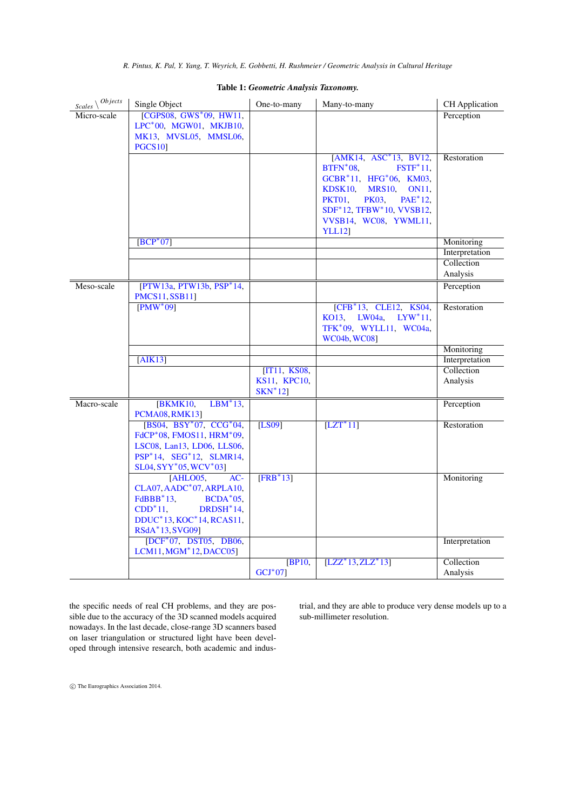<span id="page-2-1"></span>

| $rac{\text{Scales}}{\text{Scales}}$ | Single Object                                                                                                                                            | One-to-many               | Many-to-many                                                                                                                                                                                                                                                 | CH Application         |
|-------------------------------------|----------------------------------------------------------------------------------------------------------------------------------------------------------|---------------------------|--------------------------------------------------------------------------------------------------------------------------------------------------------------------------------------------------------------------------------------------------------------|------------------------|
| Micro-scale                         | [CGPS08, GWS*09, HW11,                                                                                                                                   |                           |                                                                                                                                                                                                                                                              | Perception             |
|                                     | LPC*00, MGW01, MKJB10,                                                                                                                                   |                           |                                                                                                                                                                                                                                                              |                        |
|                                     | MK13, MVSL05, MMSL06,<br><b>PGCS10</b>                                                                                                                   |                           |                                                                                                                                                                                                                                                              |                        |
|                                     |                                                                                                                                                          |                           | [AMK14, ASC*13, BV12,<br>$BTFN*08$ ,<br>$FSTF^*11$ ,<br>GCBR*11, HFG*06, KM03,<br>KDSK10.<br><b>MRS10.</b><br><b>ON11</b> ,<br><b>PKT01</b> ,<br><b>PK03,</b><br>PAE <sup>*</sup> 12.<br>SDF*12, TFBW*10, VVSB12,<br>VVSB14, WC08, YWML11,<br><b>YLL12</b> ] | Restoration            |
|                                     | $[BCP^*07]$                                                                                                                                              |                           |                                                                                                                                                                                                                                                              | Monitoring             |
|                                     |                                                                                                                                                          |                           |                                                                                                                                                                                                                                                              | Interpretation         |
|                                     |                                                                                                                                                          |                           |                                                                                                                                                                                                                                                              | Collection<br>Analysis |
|                                     |                                                                                                                                                          |                           |                                                                                                                                                                                                                                                              |                        |
| Meso-scale                          | [PTW13a, PTW13b, PSP*14,<br><b>PMCS11, SSB11]</b>                                                                                                        |                           |                                                                                                                                                                                                                                                              | Perception             |
|                                     | $[PMW^*09]$                                                                                                                                              |                           | $[CFB*13, CLE12, KS04,$<br>KO13.<br>$LWO4a$ .<br>$LYW^*11$ .<br>TFK*09, WYLL11, WC04a,<br><b>WC04b, WC08]</b>                                                                                                                                                | Restoration            |
|                                     |                                                                                                                                                          |                           |                                                                                                                                                                                                                                                              | Monitoring             |
|                                     | [AIK13]                                                                                                                                                  |                           |                                                                                                                                                                                                                                                              | Interpretation         |
|                                     |                                                                                                                                                          | [IT11, KS08,              |                                                                                                                                                                                                                                                              | Collection             |
|                                     |                                                                                                                                                          | KS11, KPC10,<br>$SKN^*12$ |                                                                                                                                                                                                                                                              | Analysis               |
| Macro-scale                         | $LBM^*13,$<br>[BKMK10,                                                                                                                                   |                           |                                                                                                                                                                                                                                                              | Perception             |
|                                     | <b>PCMA08, RMK13]</b>                                                                                                                                    |                           |                                                                                                                                                                                                                                                              |                        |
|                                     | $[BS04, BSY^*07, CCG^*04,$<br>FdCP*08, FMOS11, HRM*09,<br>LSC08, Lan13, LD06, LLS06,<br>PSP*14, SEG*12, SLMR14,<br>SL04, SYY*05, WCV*03]                 | [LS09]                    | $[LT^*11]$                                                                                                                                                                                                                                                   | Restoration            |
|                                     | [AHLO05]<br>$AC-$<br>CLA07, AADC*07, ARPLA10,<br>$FdBBB*13,$<br>$BCDA*05,$<br>$CDD^*11$ ,<br>$DRDSH*14$ ,<br>DDUC*13, KOC*14, RCAS11,<br>RSdA*13, SVG09] | $[FRB^*13]$               |                                                                                                                                                                                                                                                              | Monitoring             |
|                                     | [DCF <sup>*</sup> 07, DST05, DB06,<br>LCM11, MGM*12, DACC05]                                                                                             |                           |                                                                                                                                                                                                                                                              | Interpretation         |
|                                     |                                                                                                                                                          | IBP10,<br>$GCI*071$       | $[LZZ^*13, ZLZ^*13]$                                                                                                                                                                                                                                         | Collection<br>Analysis |

# <span id="page-2-0"></span>Table 1: *Geometric Analysis Taxonomy.*

the specific needs of real CH problems, and they are possible due to the accuracy of the 3D scanned models acquired nowadays. In the last decade, close-range 3D scanners based on laser triangulation or structured light have been developed through intensive research, both academic and industrial, and they are able to produce very dense models up to a sub-millimeter resolution.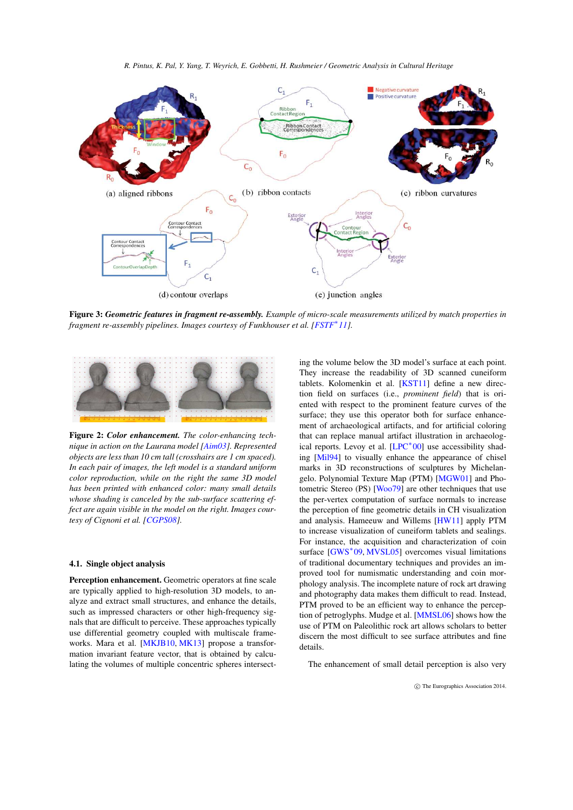*R. Pintus, K. Pal, Y. Yang, T. Weyrich, E. Gobbetti, H. Rushmeier / Geometric Analysis in Cultural Heritage*

<span id="page-3-3"></span>

<span id="page-3-1"></span>Figure 3: *Geometric features in fragment re-assembly. Example of micro-scale measurements utilized by match properties in* fragment re-assembly pipelines. Images courtesy of Funkhouser et al. [\[FSTF](#page-13-6)<sup>\*</sup>11].



<span id="page-3-0"></span>Figure 2: *Color enhancement. The color-enhancing technique in action on the Laurana model [\[Aim03\]](#page-12-3). Represented objects are less than 10 cm tall (crosshairs are 1 cm spaced). In each pair of images, the left model is a standard uniform color reproduction, while on the right the same 3D model has been printed with enhanced color: many small details whose shading is canceled by the sub-surface scattering effect are again visible in the model on the right. Images courtesy of Cignoni et al. [\[CGPS08\]](#page-13-2).*

## <span id="page-3-2"></span>4.1. Single object analysis

Perception enhancement. Geometric operators at fine scale are typically applied to high-resolution 3D models, to analyze and extract small structures, and enhance the details, such as impressed characters or other high-frequency signals that are difficult to perceive. These approaches typically use differential geometry coupled with multiscale frameworks. Mara et al. [\[MKJB10,](#page-15-6) [MK13\]](#page-15-7) propose a transformation invariant feature vector, that is obtained by calculating the volumes of multiple concentric spheres intersect-

ing the volume below the 3D model's surface at each point. They increase the readability of 3D scanned cuneiform tablets. Kolomenkin et al. [\[KST11\]](#page-14-25) define a new direction field on surfaces (i.e., *prominent field*) that is oriented with respect to the prominent feature curves of the surface; they use this operator both for surface enhancement of archaeological artifacts, and for artificial coloring that can replace manual artifact illustration in archaeolog-ical reports. Levoy et al. [\[LPC](#page-14-1)<sup>\*</sup>00] use accessibility shading [\[Mil94\]](#page-14-26) to visually enhance the appearance of chisel marks in 3D reconstructions of sculptures by Michelangelo. Polynomial Texture Map (PTM) [\[MGW01\]](#page-14-2) and Photometric Stereo (PS) [\[Woo79\]](#page-16-20) are other techniques that use the per-vertex computation of surface normals to increase the perception of fine geometric details in CH visualization and analysis. Hameeuw and Willems [\[HW11\]](#page-14-0) apply PTM to increase visualization of cuneiform tablets and sealings. For instance, the acquisition and characterization of coin surface [\[GWS](#page-13-3)<sup>\*</sup>09, [MVSL05\]](#page-15-8) overcomes visual limitations of traditional documentary techniques and provides an improved tool for numismatic understanding and coin morphology analysis. The incomplete nature of rock art drawing and photography data makes them difficult to read. Instead, PTM proved to be an efficient way to enhance the perception of petroglyphs. Mudge et al. [\[MMSL06\]](#page-15-9) shows how the use of PTM on Paleolithic rock art allows scholars to better discern the most difficult to see surface attributes and fine details.

The enhancement of small detail perception is also very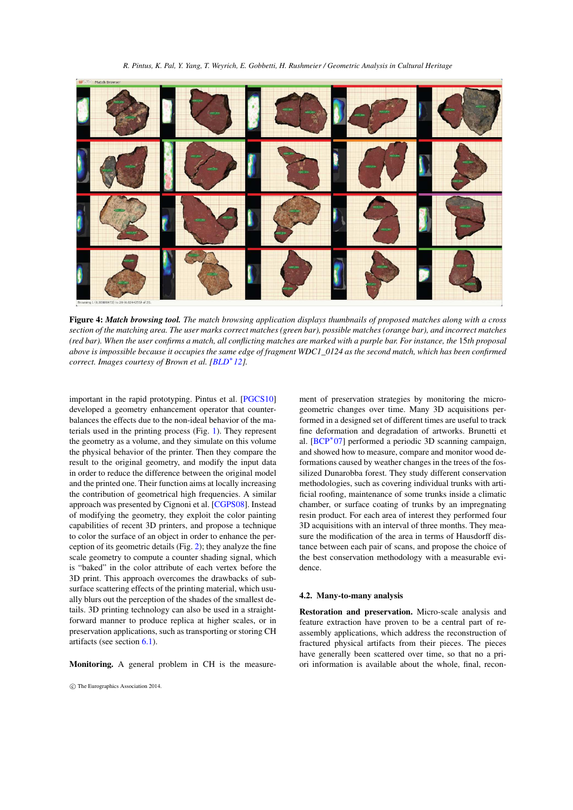<span id="page-4-2"></span>*R. Pintus, K. Pal, Y. Yang, T. Weyrich, E. Gobbetti, H. Rushmeier / Geometric Analysis in Cultural Heritage*



Figure 4: *Match browsing tool. The match browsing application displays thumbnails of proposed matches along with a cross section of the matching area. The user marks correct matches (green bar), possible matches (orange bar), and incorrect matches (red bar). When the user confirms a match, all conflicting matches are marked with a purple bar. For instance, the* 15*th proposal above is impossible because it occupies the same edge of fragment WDC1\_0124 as the second match, which has been confirmed correct. Images courtesy of Brown et al. [\[BLD](#page-12-17)*<sup>∗</sup> *12].*

<span id="page-4-0"></span>important in the rapid prototyping. Pintus et al. [\[PGCS10\]](#page-15-5) developed a geometry enhancement operator that counterbalances the effects due to the non-ideal behavior of the materials used in the printing process (Fig. [1\)](#page-1-1). They represent the geometry as a volume, and they simulate on this volume the physical behavior of the printer. Then they compare the result to the original geometry, and modify the input data in order to reduce the difference between the original model and the printed one. Their function aims at locally increasing the contribution of geometrical high frequencies. A similar approach was presented by Cignoni et al. [\[CGPS08\]](#page-13-2). Instead of modifying the geometry, they exploit the color painting capabilities of recent 3D printers, and propose a technique to color the surface of an object in order to enhance the perception of its geometric details (Fig. [2\)](#page-3-0); they analyze the fine scale geometry to compute a counter shading signal, which is "baked" in the color attribute of each vertex before the 3D print. This approach overcomes the drawbacks of subsurface scattering effects of the printing material, which usually blurs out the perception of the shades of the smallest details. 3D printing technology can also be used in a straightforward manner to produce replica at higher scales, or in preservation applications, such as transporting or storing CH artifacts (see section [6.1\)](#page-8-0).

Monitoring. A general problem in CH is the measure-

ment of preservation strategies by monitoring the microgeometric changes over time. Many 3D acquisitions performed in a designed set of different times are useful to track fine deformation and degradation of artworks. Brunetti et al. [\[BCP](#page-12-6)<sup>∗</sup> 07] performed a periodic 3D scanning campaign, and showed how to measure, compare and monitor wood deformations caused by weather changes in the trees of the fossilized Dunarobba forest. They study different conservation methodologies, such as covering individual trunks with artificial roofing, maintenance of some trunks inside a climatic chamber, or surface coating of trunks by an impregnating resin product. For each area of interest they performed four 3D acquisitions with an interval of three months. They measure the modification of the area in terms of Hausdorff distance between each pair of scans, and propose the choice of the best conservation methodology with a measurable evidence.

#### <span id="page-4-1"></span>4.2. Many-to-many analysis

Restoration and preservation. Micro-scale analysis and feature extraction have proven to be a central part of reassembly applications, which address the reconstruction of fractured physical artifacts from their pieces. The pieces have generally been scattered over time, so that no a priori information is available about the whole, final, recon-

c The Eurographics Association 2014.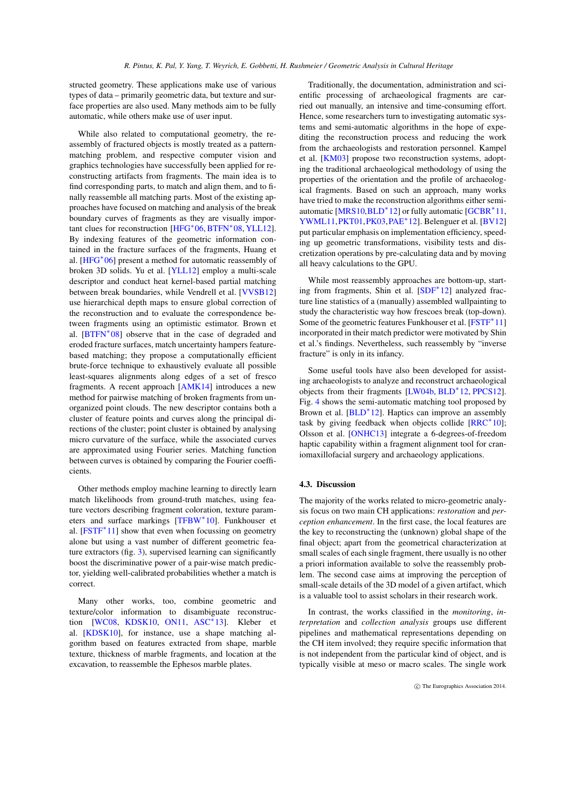<span id="page-5-0"></span>structed geometry. These applications make use of various types of data – primarily geometric data, but texture and surface properties are also used. Many methods aim to be fully automatic, while others make use of user input.

While also related to computational geometry, the reassembly of fractured objects is mostly treated as a patternmatching problem, and respective computer vision and graphics technologies have successfully been applied for reconstructing artifacts from fragments. The main idea is to find corresponding parts, to match and align them, and to finally reassemble all matching parts. Most of the existing approaches have focused on matching and analysis of the break boundary curves of fragments as they are visually impor-tant clues for reconstruction [\[HFG](#page-13-8)<sup>\*</sup>06, [BTFN](#page-13-5)<sup>\*</sup>08, [YLL12\]](#page-16-6). By indexing features of the geometric information contained in the fracture surfaces of the fragments, Huang et al. [\[HFG](#page-13-8)<sup>\*06</sup>] present a method for automatic reassembly of broken 3D solids. Yu et al. [\[YLL12\]](#page-16-6) employ a multi-scale descriptor and conduct heat kernel-based partial matching between break boundaries, while Vendrell et al. [\[VVSB12\]](#page-16-2) use hierarchical depth maps to ensure global correction of the reconstruction and to evaluate the correspondence between fragments using an optimistic estimator. Brown et al. [\[BTFN](#page-13-5)<sup>\*</sup>08] observe that in the case of degraded and eroded fracture surfaces, match uncertainty hampers featurebased matching; they propose a computationally efficient brute-force technique to exhaustively evaluate all possible least-squares alignments along edges of a set of fresco fragments. A recent approach [\[AMK14\]](#page-12-4) introduces a new method for pairwise matching of broken fragments from unorganized point clouds. The new descriptor contains both a cluster of feature points and curves along the principal directions of the cluster; point cluster is obtained by analysing micro curvature of the surface, while the associated curves are approximated using Fourier series. Matching function between curves is obtained by comparing the Fourier coefficients.

Other methods employ machine learning to directly learn match likelihoods from ground-truth matches, using feature vectors describing fragment coloration, texture param-eters and surface markings [\[TFBW](#page-16-1)<sup>\*</sup>10]. Funkhouser et al. [\[FSTF](#page-13-6)<sup>\*</sup>11] show that even when focussing on geometry alone but using a vast number of different geometric feature extractors (fig. [3\)](#page-3-1), supervised learning can significantly boost the discriminative power of a pair-wise match predictor, yielding well-calibrated probabilities whether a match is correct.

Many other works, too, combine geometric and texture/color information to disambiguate reconstruc-tion [\[WC08,](#page-16-4) [KDSK10,](#page-14-4) [ON11,](#page-15-11) [ASC](#page-12-5)<sup>\*</sup>13]. Kleber et al. [\[KDSK10\]](#page-14-4), for instance, use a shape matching algorithm based on features extracted from shape, marble texture, thickness of marble fragments, and location at the excavation, to reassemble the Ephesos marble plates.

Traditionally, the documentation, administration and scientific processing of archaeological fragments are carried out manually, an intensive and time-consuming effort. Hence, some researchers turn to investigating automatic systems and semi-automatic algorithms in the hope of expediting the reconstruction process and reducing the work from the archaeologists and restoration personnel. Kampel et al. [\[KM03\]](#page-14-3) propose two reconstruction systems, adopting the traditional archaeological methodology of using the properties of the orientation and the profile of archaeological fragments. Based on such an approach, many works have tried to make the reconstruction algorithms either semi-automatic [\[MRS10,](#page-15-10) [BLD](#page-12-17)<sup>\*</sup>12] or fully automatic [\[GCBR](#page-13-7)<sup>\*</sup>11, [YWML11](#page-16-5)[,PKT01](#page-15-12)[,PK03,](#page-15-13)[PAE](#page-15-14)<sup>∗</sup> 12]. Belenguer et al. [\[BV12\]](#page-13-4) put particular emphasis on implementation efficiency, speeding up geometric transformations, visibility tests and discretization operations by pre-calculating data and by moving all heavy calculations to the GPU.

While most reassembly approaches are bottom-up, starting from fragments, Shin et al. [\[SDF](#page-15-15)<sup>∗</sup> 12] analyzed fracture line statistics of a (manually) assembled wallpainting to study the characteristic way how frescoes break (top-down). Some of the geometric features Funkhouser et al. [\[FSTF](#page-13-6)<sup>\*</sup>11] incorporated in their match predictor were motivated by Shin et al.'s findings. Nevertheless, such reassembly by "inverse fracture" is only in its infancy.

Some useful tools have also been developed for assisting archaeologists to analyze and reconstruct archaeological objects from their fragments [\[LW04b,](#page-14-27) [BLD](#page-12-17)<sup>∗</sup> 12, [PPCS12\]](#page-15-25). Fig. [4](#page-4-0) shows the semi-automatic matching tool proposed by Brown et al. [\[BLD](#page-12-17)<sup>\*</sup>12]. Haptics can improve an assembly task by giving feedback when objects collide [\[RRC](#page-15-26)<sup>∗</sup>10]; Olsson et al. [\[ONHC13\]](#page-15-27) integrate a 6-degrees-of-freedom haptic capability within a fragment alignment tool for craniomaxillofacial surgery and archaeology applications.

## 4.3. Discussion

The majority of the works related to micro-geometric analysis focus on two main CH applications: *restoration* and *perception enhancement*. In the first case, the local features are the key to reconstructing the (unknown) global shape of the final object; apart from the geometrical characterization at small scales of each single fragment, there usually is no other a priori information available to solve the reassembly problem. The second case aims at improving the perception of small-scale details of the 3D model of a given artifact, which is a valuable tool to assist scholars in their research work.

In contrast, the works classified in the *monitoring*, *interpretation* and *collection analysis* groups use different pipelines and mathematical representations depending on the CH item involved; they require specific information that is not independent from the particular kind of object, and is typically visible at meso or macro scales. The single work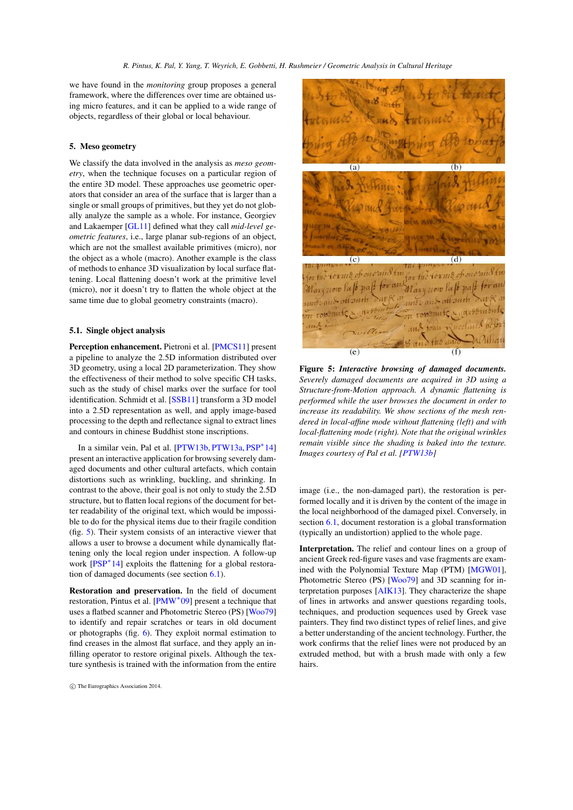<span id="page-6-2"></span>we have found in the *monitoring* group proposes a general framework, where the differences over time are obtained using micro features, and it can be applied to a wide range of objects, regardless of their global or local behaviour.

## 5. Meso geometry

We classify the data involved in the analysis as *meso geometry*, when the technique focuses on a particular region of the entire 3D model. These approaches use geometric operators that consider an area of the surface that is larger than a single or small groups of primitives, but they yet do not globally analyze the sample as a whole. For instance, Georgiev and Lakaemper [\[GL11\]](#page-13-24) defined what they call *mid-level geometric features*, i.e., large planar sub-regions of an object, which are not the smallest available primitives (micro), nor the object as a whole (macro). Another example is the class of methods to enhance 3D visualization by local surface flattening. Local flattening doesn't work at the primitive level (micro), nor it doesn't try to flatten the whole object at the same time due to global geometry constraints (macro).

# <span id="page-6-1"></span>5.1. Single object analysis

Perception enhancement. Pietroni et al. [\[PMCS11\]](#page-15-19) present a pipeline to analyze the 2.5D information distributed over 3D geometry, using a local 2D parameterization. They show the effectiveness of their method to solve specific CH tasks, such as the study of chisel marks over the surface for tool identification. Schmidt et al. [\[SSB11\]](#page-16-7) transform a 3D model into a 2.5D representation as well, and apply image-based processing to the depth and reflectance signal to extract lines and contours in chinese Buddhist stone inscriptions.

In a similar vein, Pal et al. [\[PTW13b,](#page-15-17) [PTW13a,](#page-15-16) [PSP](#page-15-18)<sup>\*</sup>14] present an interactive application for browsing severely damaged documents and other cultural artefacts, which contain distortions such as wrinkling, buckling, and shrinking. In contrast to the above, their goal is not only to study the 2.5D structure, but to flatten local regions of the document for better readability of the original text, which would be impossible to do for the physical items due to their fragile condition (fig. [5\)](#page-6-0). Their system consists of an interactive viewer that allows a user to browse a document while dynamically flattening only the local region under inspection. A follow-up work [\[PSP](#page-15-18)<sup>\*</sup>14] exploits the flattening for a global restoration of damaged documents (see section  $6.1$ ).

Restoration and preservation. In the field of document restoration, Pintus et al. [\[PMW](#page-15-20)<sup>∗</sup>09] present a technique that uses a flatbed scanner and Photometric Stereo (PS) [\[Woo79\]](#page-16-20) to identify and repair scratches or tears in old document or photographs (fig. [6\)](#page-7-0). They exploit normal estimation to find creases in the almost flat surface, and they apply an infilling operator to restore original pixels. Although the texture synthesis is trained with the information from the entire



Figure 5: *Interactive browsing of damaged documents. Severely damaged documents are acquired in 3D using a Structure-from-Motion approach. A dynamic flattening is performed while the user browses the document in order to increase its readability. We show sections of the mesh rendered in local-affine mode without flattening (left) and with local-flattening mode (right). Note that the original wrinkles remain visible since the shading is baked into the texture. Images courtesy of Pal et al. [\[PTW13b\]](#page-15-17)*

<span id="page-6-0"></span>image (i.e., the non-damaged part), the restoration is performed locally and it is driven by the content of the image in the local neighborhood of the damaged pixel. Conversely, in section [6.1,](#page-8-0) document restoration is a global transformation (typically an undistortion) applied to the whole page.

Interpretation. The relief and contour lines on a group of ancient Greek red-figure vases and vase fragments are examined with the Polynomial Texture Map (PTM) [\[MGW01\]](#page-14-2), Photometric Stereo (PS) [\[Woo79\]](#page-16-20) and 3D scanning for interpretation purposes [\[AIK13\]](#page-12-7). They characterize the shape of lines in artworks and answer questions regarding tools, techniques, and production sequences used by Greek vase painters. They find two distinct types of relief lines, and give a better understanding of the ancient technology. Further, the work confirms that the relief lines were not produced by an extruded method, but with a brush made with only a few hairs.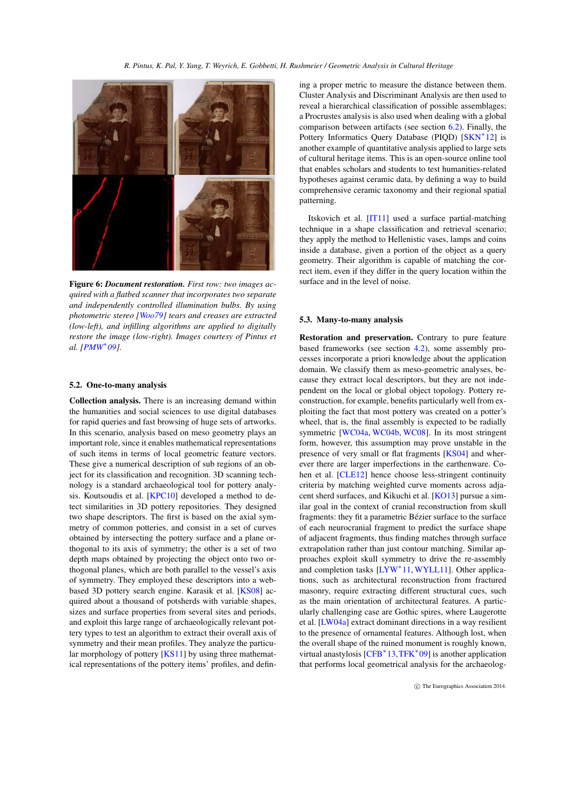<span id="page-7-1"></span>

Figure 6: *Document restoration. First row: two images acquired with a flatbed scanner that incorporates two separate and independently controlled illumination bulbs. By using photometric stereo [\[Woo79\]](#page-16-20) tears and creases are extracted (low-left), and infilling algorithms are applied to digitally restore the image (low-right). Images courtesy of Pintus et al. [\[PMW](#page-15-20)*<sup>∗</sup> *09].*

#### <span id="page-7-0"></span>5.2. One-to-many analysis

Collection analysis. There is an increasing demand within the humanities and social sciences to use digital databases for rapid queries and fast browsing of huge sets of artworks. In this scenario, analysis based on meso geometry plays an important role, since it enables mathematical representations of such items in terms of local geometric feature vectors. These give a numerical description of sub regions of an object for its classification and recognition. 3D scanning technology is a standard archaeological tool for pottery analysis. Koutsoudis et al. [\[KPC10\]](#page-14-12) developed a method to detect similarities in 3D pottery repositories. They designed two shape descriptors. The first is based on the axial symmetry of common potteries, and consist in a set of curves obtained by intersecting the pottery surface and a plane orthogonal to its axis of symmetry; the other is a set of two depth maps obtained by projecting the object onto two orthogonal planes, which are both parallel to the vessel's axis of symmetry. They employed these descriptors into a webbased 3D pottery search engine. Karasik et al. [\[KS08\]](#page-14-10) acquired about a thousand of potsherds with variable shapes, sizes and surface properties from several sites and periods, and exploit this large range of archaeologically relevant pottery types to test an algorithm to extract their overall axis of symmetry and their mean profiles. They analyze the particular morphology of pottery [\[KS11\]](#page-14-11) by using three mathematical representations of the pottery items' profiles, and defining a proper metric to measure the distance between them. Cluster Analysis and Discriminant Analysis are then used to reveal a hierarchical classification of possible assemblages; a Procrustes analysis is also used when dealing with a global comparison between artifacts (see section  $6.2$ ). Finally, the Pottery Informatics Query Database (PIQD) [\[SKN](#page-16-12)<sup>\*</sup>12] is another example of quantitative analysis applied to large sets of cultural heritage items. This is an open-source online tool that enables scholars and students to test humanities-related hypotheses against ceramic data, by defining a way to build comprehensive ceramic taxonomy and their regional spatial patterning.

Itskovich et al. [\[IT11\]](#page-14-9) used a surface partial-matching technique in a shape classification and retrieval scenario; they apply the method to Hellenistic vases, lamps and coins inside a database, given a portion of the object as a query geometry. Their algorithm is capable of matching the correct item, even if they differ in the query location within the surface and in the level of noise.

#### 5.3. Many-to-many analysis

Restoration and preservation. Contrary to pure feature based frameworks (see section [4.2\)](#page-4-1), some assembly processes incorporate a priori knowledge about the application domain. We classify them as meso-geometric analyses, because they extract local descriptors, but they are not independent on the local or global object topology. Pottery reconstruction, for example, benefits particularly well from exploiting the fact that most pottery was created on a potter's wheel, that is, the final assembly is expected to be radially symmetric [\[WC04a,](#page-16-10) [WC04b,](#page-16-11) [WC08\]](#page-16-4). In its most stringent form, however, this assumption may prove unstable in the presence of very small or flat fragments [\[KS04\]](#page-14-5) and wherever there are larger imperfections in the earthenware. Cohen et al. [\[CLE12\]](#page-13-10) hence choose less-stringent continuity criteria by matching weighted curve moments across adjacent sherd surfaces, and Kikuchi et al. [\[KO13\]](#page-14-6) pursue a similar goal in the context of cranial reconstruction from skull fragments: they fit a parametric Bézier surface to the surface of each neurocranial fragment to predict the surface shape of adjacent fragments, thus finding matches through surface extrapolation rather than just contour matching. Similar approaches exploit skull symmetry to drive the re-assembly and completion tasks [\[LYW](#page-14-8)<sup>∗</sup> 11, [WYLL11\]](#page-16-9). Other applications, such as architectural reconstruction from fractured masonry, require extracting different structural cues, such as the main orientation of architectural features. A particularly challenging case are Gothic spires, where Laugerotte et al. [\[LW04a\]](#page-14-7) extract dominant directions in a way resilient to the presence of ornamental features. Although lost, when the overall shape of the ruined monument is roughly known, virtual anastylosis [\[CFB](#page-13-9)<sup>∗</sup> 13[,TFK](#page-16-8)<sup>∗</sup> 09] is another application that performs local geometrical analysis for the archaeolog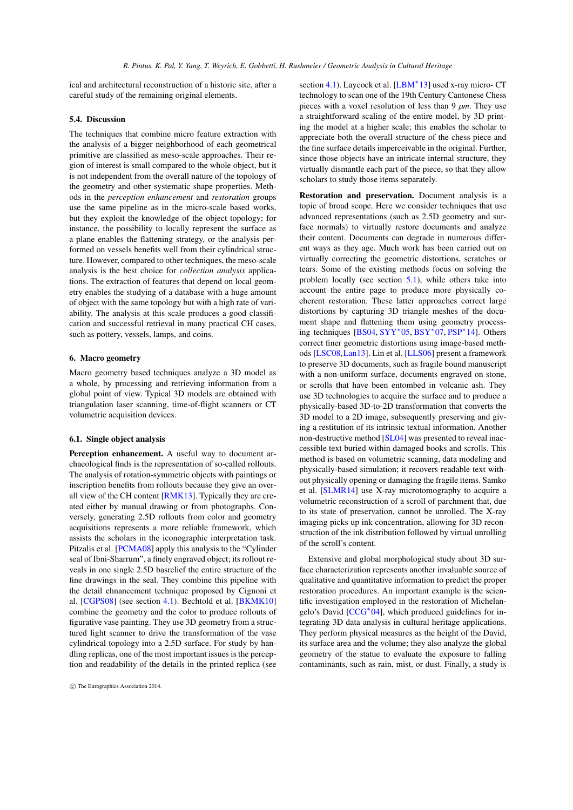<span id="page-8-1"></span>ical and architectural reconstruction of a historic site, after a careful study of the remaining original elements.

## 5.4. Discussion

The techniques that combine micro feature extraction with the analysis of a bigger neighborhood of each geometrical primitive are classified as meso-scale approaches. Their region of interest is small compared to the whole object, but it is not independent from the overall nature of the topology of the geometry and other systematic shape properties. Methods in the *perception enhancement* and *restoration* groups use the same pipeline as in the micro-scale based works, but they exploit the knowledge of the object topology; for instance, the possibility to locally represent the surface as a plane enables the flattening strategy, or the analysis performed on vessels benefits well from their cylindrical structure. However, compared to other techniques, the meso-scale analysis is the best choice for *collection analysis* applications. The extraction of features that depend on local geometry enables the studying of a database with a huge amount of object with the same topology but with a high rate of variability. The analysis at this scale produces a good classification and successful retrieval in many practical CH cases, such as pottery, vessels, lamps, and coins.

### 6. Macro geometry

Macro geometry based techniques analyze a 3D model as a whole, by processing and retrieving information from a global point of view. Typical 3D models are obtained with triangulation laser scanning, time-of-flight scanners or CT volumetric acquisition devices.

#### <span id="page-8-0"></span>6.1. Single object analysis

Perception enhancement. A useful way to document archaeological finds is the representation of so-called rollouts. The analysis of rotation-symmetric objects with paintings or inscription benefits from rollouts because they give an overall view of the CH content [\[RMK13\]](#page-15-22). Typically they are created either by manual drawing or from photographs. Conversely, generating 2.5D rollouts from color and geometry acquisitions represents a more reliable framework, which assists the scholars in the iconographic interpretation task. Pitzalis et al. [\[PCMA08\]](#page-15-21) apply this analysis to the "Cylinder seal of Ibni-Sharrum", a finely engraved object; its rollout reveals in one single 2.5D basrelief the entire structure of the fine drawings in the seal. They combine this pipeline with the detail ehnancement technique proposed by Cignoni et al. [\[CGPS08\]](#page-13-2) (see section [4.1\)](#page-3-2). Bechtold et al. [\[BKMK10\]](#page-12-8) combine the geometry and the color to produce rollouts of figurative vase painting. They use 3D geometry from a structured light scanner to drive the transformation of the vase cylindrical topology into a 2.5D surface. For study by handling replicas, one of the most important issues is the perception and readability of the details in the printed replica (see

section [4.1\)](#page-3-2). Laycock et al. [\[LBM](#page-14-13)<sup>\*</sup>13] used x-ray micro- CT technology to scan one of the 19th Century Cantonese Chess pieces with a voxel resolution of less than 9 *µm*. They use a straightforward scaling of the entire model, by 3D printing the model at a higher scale; this enables the scholar to appreciate both the overall structure of the chess piece and the fine surface details imperceivable in the original. Further, since those objects have an intricate internal structure, they virtually dismantle each part of the piece, so that they allow scholars to study those items separately.

Restoration and preservation. Document analysis is a topic of broad scope. Here we consider techniques that use advanced representations (such as 2.5D geometry and surface normals) to virtually restore documents and analyze their content. Documents can degrade in numerous different ways as they age. Much work has been carried out on virtually correcting the geometric distortions, scratches or tears. Some of the existing methods focus on solving the problem locally (see section [5.1\)](#page-6-1), while others take into account the entire page to produce more physically coeherent restoration. These latter approaches correct large distortions by capturing 3D triangle meshes of the document shape and flattening them using geometry processing techniques [\[BS04,](#page-12-9) [SYY](#page-16-16)<sup>∗</sup> 05, [BSY](#page-12-10)<sup>∗</sup> 07, [PSP](#page-15-18)<sup>∗</sup> 14]. Others correct finer geometric distortions using image-based methods [\[LSC08,](#page-14-15)[Lan13\]](#page-14-16). Lin et al. [\[LLS06\]](#page-14-18) present a framework to preserve 3D documents, such as fragile bound manuscript with a non-uniform surface, documents engraved on stone, or scrolls that have been entombed in volcanic ash. They use 3D technologies to acquire the surface and to produce a physically-based 3D-to-2D transformation that converts the 3D model to a 2D image, subsequently preserving and giving a restitution of its intrinsic textual information. Another non-destructive method [\[SL04\]](#page-16-15) was presented to reveal inaccessible text buried within damaged books and scrolls. This method is based on volumetric scanning, data modeling and physically-based simulation; it recovers readable text without physically opening or damaging the fragile items. Samko et al. [\[SLMR14\]](#page-16-14) use X-ray microtomography to acquire a volumetric reconstruction of a scroll of parchment that, due to its state of preservation, cannot be unrolled. The X-ray imaging picks up ink concentration, allowing for 3D reconstruction of the ink distribution followed by virtual unrolling of the scroll's content.

Extensive and global morphological study about 3D surface characterization represents another invaluable source of qualitative and quantitative information to predict the proper restoration procedures. An important example is the scientific investigation employed in the restoration of Michelangelo's David [\[CCG](#page-13-11)<sup>∗</sup> 04], which produced guidelines for integrating 3D data analysis in cultural heritage applications. They perform physical measures as the height of the David, its surface area and the volume; they also analyze the global geometry of the statue to evaluate the exposure to falling contaminants, such as rain, mist, or dust. Finally, a study is

c The Eurographics Association 2014.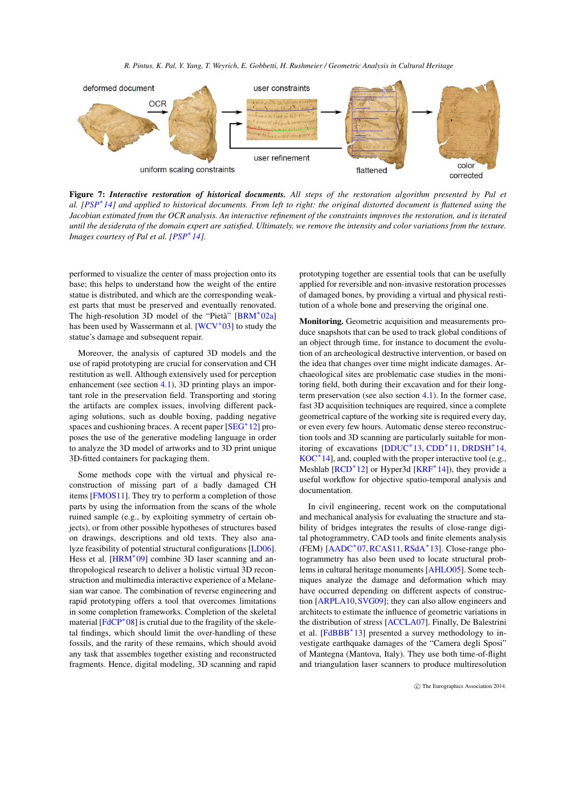<span id="page-9-0"></span>

Figure 7: *Interactive restoration of historical documents. All steps of the restoration algorithm presented by Pal et al. [\[PSP](#page-15-18)*<sup>∗</sup> *14] and applied to historical documents. From left to right: the original distorted document is flattened using the Jacobian estimated from the OCR analysis. An interactive refinement of the constraints improves the restoration, and is iterated until the desiderata of the domain expert are satisfied. Ultimately, we remove the intensity and color variations from the texture. Images courtesy of Pal et al. [\[PSP](#page-15-18)*<sup>∗</sup> *14].*

performed to visualize the center of mass projection onto its base; this helps to understand how the weight of the entire statue is distributed, and which are the corresponding weakest parts that must be preserved and eventually renovated. The high-resolution 3D model of the "Pietà" [\[BRM](#page-12-18)<sup>∗</sup>02a] has been used by Wassermann et al. [\[WCV](#page-16-17)<sup>\*03]</sup> to study the statue's damage and subsequent repair.

Moreover, the analysis of captured 3D models and the use of rapid prototyping are crucial for conservation and CH restitution as well. Although extensively used for perception enhancement (see section [4.1\)](#page-3-2), 3D printing plays an important role in the preservation field. Transporting and storing the artifacts are complex issues, involving different packaging solutions, such as double boxing, padding negative spaces and cushioning braces. A recent paper [\[SEG](#page-16-13)<sup>\*</sup>12] proposes the use of the generative modeling language in order to analyze the 3D model of artworks and to 3D print unique 3D-fitted containers for packaging them.

Some methods cope with the virtual and physical reconstruction of missing part of a badly damaged CH items [\[FMOS11\]](#page-13-13). They try to perform a completion of those parts by using the information from the scans of the whole ruined sample (e.g., by exploiting symmetry of certain objects), or from other possible hypotheses of structures based on drawings, descriptions and old texts. They also analyze feasibility of potential structural configurations [\[LD06\]](#page-14-17). Hess et al. [\[HRM](#page-14-14)<sup>\*</sup>09] combine 3D laser scanning and anthropological research to deliver a holistic virtual 3D reconstruction and multimedia interactive experience of a Melanesian war canoe. The combination of reverse engineering and rapid prototyping offers a tool that overcomes limitations in some completion frameworks. Completion of the skeletal material  $[FdCP^*08]$  is crutial due to the fragility of the skeletal findings, which should limit the over-handling of these fossils, and the rarity of these remains, which should avoid any task that assembles together existing and reconstructed fragments. Hence, digital modeling, 3D scanning and rapid prototyping together are essential tools that can be usefully applied for reversible and non-invasive restoration processes of damaged bones, by providing a virtual and physical restitution of a whole bone and preserving the original one.

Monitoring. Geometric acquisition and measurements produce snapshots that can be used to track global conditions of an object through time, for instance to document the evolution of an archeological destructive intervention, or based on the idea that changes over time might indicate damages. Archaeological sites are problematic case studies in the monitoring field, both during their excavation and for their longterm preservation (see also section [4.1\)](#page-3-2). In the former case, fast 3D acquisition techniques are required, since a complete geometrical capture of the working site is required every day, or even every few hours. Automatic dense stereo reconstruction tools and 3D scanning are particularly suitable for monitoring of excavations [\[DDUC](#page-13-17)<sup>∗</sup> 13, [CDD](#page-13-15)<sup>∗</sup> 11, [DRDSH](#page-13-16)<sup>∗</sup> 14,  $KOC^*$  $KOC^*$ 14], and, coupled with the proper interactive tool (e.g., Meshlab [\[RCD](#page-15-28)<sup>\*</sup>12] or Hyper3d [\[KRF](#page-14-28)<sup>\*</sup>14]), they provide a useful workflow for objective spatio-temporal analysis and documentation.

In civil engineering, recent work on the computational and mechanical analysis for evaluating the structure and stability of bridges integrates the results of close-range digital photogrammetry, CAD tools and finite elements analysis (FEM) [\[AADC](#page-12-13)<sup>∗</sup> 07, [RCAS11,](#page-15-23) [RSdA](#page-15-24)<sup>∗</sup> 13]. Close-range photogrammetry has also been used to locate structural problems in cultural heritage monuments [\[AHLO05\]](#page-12-11). Some techniques analyze the damage and deformation which may have occurred depending on different aspects of construction [\[ARPLA10,](#page-12-14)[SVG09\]](#page-16-18); they can also allow engineers and architects to estimate the influence of geometric variations in the distribution of stress [\[ACCLA07\]](#page-12-12). Finally, De Balestrini et al. [\[FdBBB](#page-13-14)<sup>\*</sup>13] presented a survey methodology to investigate earthquake damages of the "Camera degli Sposi" of Mantegna (Mantova, Italy). They use both time-of-flight and triangulation laser scanners to produce multiresolution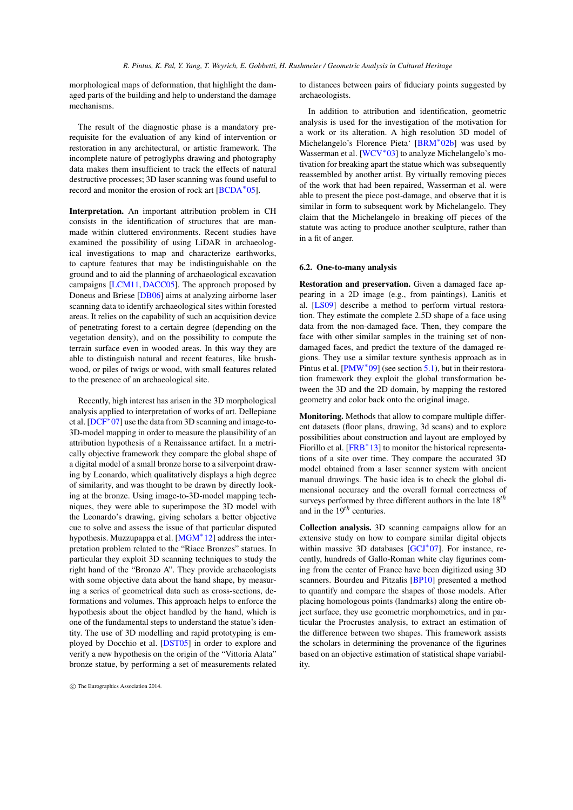<span id="page-10-1"></span>morphological maps of deformation, that highlight the damaged parts of the building and help to understand the damage mechanisms.

The result of the diagnostic phase is a mandatory prerequisite for the evaluation of any kind of intervention or restoration in any architectural, or artistic framework. The incomplete nature of petroglyphs drawing and photography data makes them insufficient to track the effects of natural destructive processes; 3D laser scanning was found useful to record and monitor the erosion of rock art [\[BCDA](#page-12-15)<sup>∗</sup> 05].

Interpretation. An important attribution problem in CH consists in the identification of structures that are manmade within cluttered environments. Recent studies have examined the possibility of using LiDAR in archaeological investigations to map and characterize earthworks, to capture features that may be indistinguishable on the ground and to aid the planning of archaeological excavation campaigns [\[LCM11,](#page-14-22) [DACC05\]](#page-13-22). The approach proposed by Doneus and Briese [\[DB06\]](#page-13-21) aims at analyzing airborne laser scanning data to identify archaeological sites within forested areas. It relies on the capability of such an acquisition device of penetrating forest to a certain degree (depending on the vegetation density), and on the possibility to compute the terrain surface even in wooded areas. In this way they are able to distinguish natural and recent features, like brushwood, or piles of twigs or wood, with small features related to the presence of an archaeological site.

Recently, high interest has arisen in the 3D morphological analysis applied to interpretation of works of art. Dellepiane et al. [\[DCF](#page-13-19)<sup>\*</sup>07] use the data from 3D scanning and image-to-3D-model mapping in order to measure the plausibility of an attribution hypothesis of a Renaissance artifact. In a metrically objective framework they compare the global shape of a digital model of a small bronze horse to a silverpoint drawing by Leonardo, which qualitatively displays a high degree of similarity, and was thought to be drawn by directly looking at the bronze. Using image-to-3D-model mapping techniques, they were able to superimpose the 3D model with the Leonardo's drawing, giving scholars a better objective cue to solve and assess the issue of that particular disputed hypothesis. Muzzupappa et al. [\[MGM](#page-14-23)<sup>\*</sup> 12] address the interpretation problem related to the "Riace Bronzes" statues. In particular they exploit 3D scanning techniques to study the right hand of the "Bronzo A". They provide archaeologists with some objective data about the hand shape, by measuring a series of geometrical data such as cross-sections, deformations and volumes. This approach helps to enforce the hypothesis about the object handled by the hand, which is one of the fundamental steps to understand the statue's identity. The use of 3D modelling and rapid prototyping is employed by Docchio et al. [\[DST05\]](#page-13-20) in order to explore and verify a new hypothesis on the origin of the "Vittoria Alata" bronze statue, by performing a set of measurements related

to distances between pairs of fiduciary points suggested by archaeologists.

In addition to attribution and identification, geometric analysis is used for the investigation of the motivation for a work or its alteration. A high resolution 3D model of Michelangelo's Florence Pieta' [\[BRM](#page-12-19)<sup>∗</sup> 02b] was used by Wasserman et al. [\[WCV](#page-16-17)<sup>\*</sup>03] to analyze Michelangelo's motivation for breaking apart the statue which was subsequently reassembled by another artist. By virtually removing pieces of the work that had been repaired, Wasserman et al. were able to present the piece post-damage, and observe that it is similar in form to subsequent work by Michelangelo. They claim that the Michelangelo in breaking off pieces of the statute was acting to produce another sculpture, rather than in a fit of anger.

## <span id="page-10-0"></span>6.2. One-to-many analysis

Restoration and preservation. Given a damaged face appearing in a 2D image (e.g., from paintings), Lanitis et al. [\[LS09\]](#page-14-19) describe a method to perform virtual restoration. They estimate the complete 2.5D shape of a face using data from the non-damaged face. Then, they compare the face with other similar samples in the training set of nondamaged faces, and predict the texture of the damaged regions. They use a similar texture synthesis approach as in Pintus et al. [\[PMW](#page-15-20)<sup>\*</sup>09] (see section [5.1\)](#page-6-1), but in their restoration framework they exploit the global transformation between the 3D and the 2D domain, by mapping the restored geometry and color back onto the original image.

Monitoring. Methods that allow to compare multiple different datasets (floor plans, drawing, 3d scans) and to explore possibilities about construction and layout are employed by Fiorillo et al. [\[FRB](#page-13-18)<sup>\*</sup>13] to monitor the historical representations of a site over time. They compare the accurated 3D model obtained from a laser scanner system with ancient manual drawings. The basic idea is to check the global dimensional accuracy and the overall formal correctness of surveys performed by three different authors in the late 18*th* and in the 19*th* centuries.

Collection analysis. 3D scanning campaigns allow for an extensive study on how to compare similar digital objects within massive 3D databases [\[GCJ](#page-13-23)<sup>\*</sup>07]. For instance, recently, hundreds of Gallo-Roman white clay figurines coming from the center of France have been digitized using 3D scanners. Bourdeu and Pitzalis [\[BP10\]](#page-12-16) presented a method to quantify and compare the shapes of those models. After placing homologous points (landmarks) along the entire object surface, they use geometric morphometrics, and in particular the Procrustes analysis, to extract an estimation of the difference between two shapes. This framework assists the scholars in determining the provenance of the figurines based on an objective estimation of statistical shape variability.

c The Eurographics Association 2014.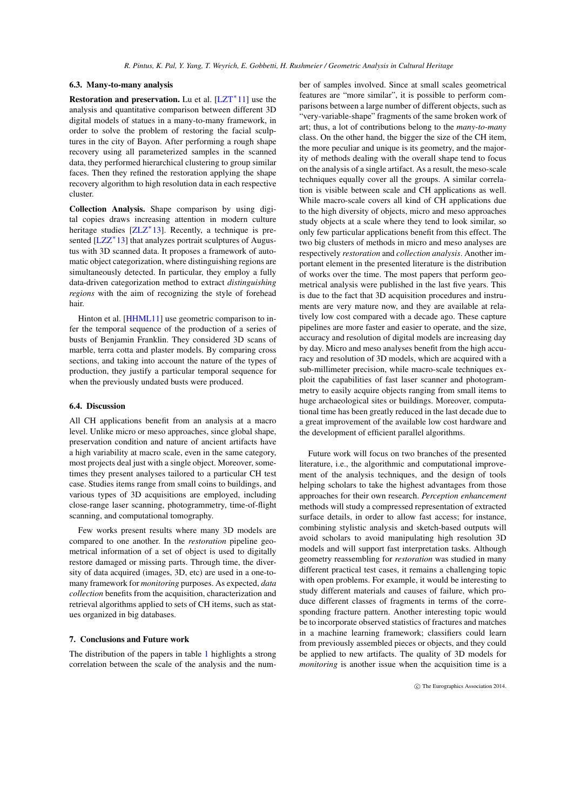#### <span id="page-11-0"></span>6.3. Many-to-many analysis

Restoration and preservation. Lu et al. [\[LZT](#page-14-20)<sup>\*</sup>11] use the analysis and quantitative comparison between different 3D digital models of statues in a many-to-many framework, in order to solve the problem of restoring the facial sculptures in the city of Bayon. After performing a rough shape recovery using all parameterized samples in the scanned data, they performed hierarchical clustering to group similar faces. Then they refined the restoration applying the shape recovery algorithm to high resolution data in each respective cluster.

Collection Analysis. Shape comparison by using digital copies draws increasing attention in modern culture heritage studies  $[ZLZ^*13]$ . Recently, a technique is pre-sented [\[LZZ](#page-14-24)<sup>\*</sup>13] that analyzes portrait sculptures of Augustus with 3D scanned data. It proposes a framework of automatic object categorization, where distinguishing regions are simultaneously detected. In particular, they employ a fully data-driven categorization method to extract *distinguishing regions* with the aim of recognizing the style of forehead hair.

Hinton et al. [\[HHML11\]](#page-13-25) use geometric comparison to infer the temporal sequence of the production of a series of busts of Benjamin Franklin. They considered 3D scans of marble, terra cotta and plaster models. By comparing cross sections, and taking into account the nature of the types of production, they justify a particular temporal sequence for when the previously undated busts were produced.

## 6.4. Discussion

All CH applications benefit from an analysis at a macro level. Unlike micro or meso approaches, since global shape, preservation condition and nature of ancient artifacts have a high variability at macro scale, even in the same category, most projects deal just with a single object. Moreover, sometimes they present analyses tailored to a particular CH test case. Studies items range from small coins to buildings, and various types of 3D acquisitions are employed, including close-range laser scanning, photogrammetry, time-of-flight scanning, and computational tomography.

Few works present results where many 3D models are compared to one another. In the *restoration* pipeline geometrical information of a set of object is used to digitally restore damaged or missing parts. Through time, the diversity of data acquired (images, 3D, etc) are used in a one-tomany framework for *monitoring* purposes. As expected, *data collection* benefits from the acquisition, characterization and retrieval algorithms applied to sets of CH items, such as statues organized in big databases.

#### 7. Conclusions and Future work

The distribution of the papers in table [1](#page-2-0) highlights a strong correlation between the scale of the analysis and the number of samples involved. Since at small scales geometrical features are "more similar", it is possible to perform comparisons between a large number of different objects, such as "very-variable-shape" fragments of the same broken work of art; thus, a lot of contributions belong to the *many-to-many* class. On the other hand, the bigger the size of the CH item, the more peculiar and unique is its geometry, and the majority of methods dealing with the overall shape tend to focus on the analysis of a single artifact. As a result, the meso-scale techniques equally cover all the groups. A similar correlation is visible between scale and CH applications as well. While macro-scale covers all kind of CH applications due to the high diversity of objects, micro and meso approaches study objects at a scale where they tend to look similar, so only few particular applications benefit from this effect. The two big clusters of methods in micro and meso analyses are respectively *restoration* and *collection analysis*. Another important element in the presented literature is the distribution of works over the time. The most papers that perform geometrical analysis were published in the last five years. This is due to the fact that 3D acquisition procedures and instruments are very mature now, and they are available at relatively low cost compared with a decade ago. These capture pipelines are more faster and easier to operate, and the size, accuracy and resolution of digital models are increasing day by day. Micro and meso analyses benefit from the high accuracy and resolution of 3D models, which are acquired with a sub-millimeter precision, while macro-scale techniques exploit the capabilities of fast laser scanner and photogrammetry to easily acquire objects ranging from small items to huge archaeological sites or buildings. Moreover, computational time has been greatly reduced in the last decade due to a great improvement of the available low cost hardware and the development of efficient parallel algorithms.

Future work will focus on two branches of the presented literature, i.e., the algorithmic and computational improvement of the analysis techniques, and the design of tools helping scholars to take the highest advantages from those approaches for their own research. *Perception enhancement* methods will study a compressed representation of extracted surface details, in order to allow fast access; for instance, combining stylistic analysis and sketch-based outputs will avoid scholars to avoid manipulating high resolution 3D models and will support fast interpretation tasks. Although geometry reassembling for *restoration* was studied in many different practical test cases, it remains a challenging topic with open problems. For example, it would be interesting to study different materials and causes of failure, which produce different classes of fragments in terms of the corresponding fracture pattern. Another interesting topic would be to incorporate observed statistics of fractures and matches in a machine learning framework; classifiers could learn from previously assembled pieces or objects, and they could be applied to new artifacts. The quality of 3D models for *monitoring* is another issue when the acquisition time is a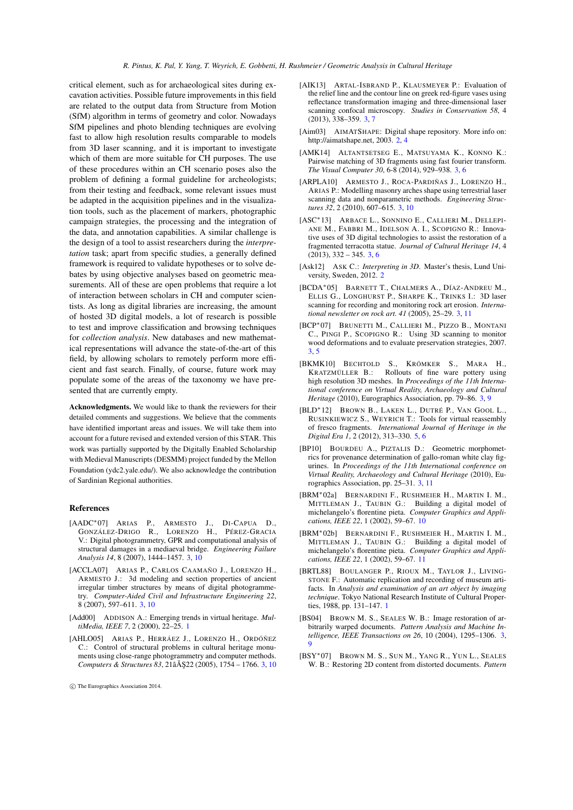critical element, such as for archaeological sites during excavation activities. Possible future improvements in this field are related to the output data from Structure from Motion (SfM) algorithm in terms of geometry and color. Nowadays SfM pipelines and photo blending techniques are evolving fast to allow high resolution results comparable to models from 3D laser scanning, and it is important to investigate which of them are more suitable for CH purposes. The use of these procedures within an CH scenario poses also the problem of defining a formal guideline for archeologists; from their testing and feedback, some relevant issues must be adapted in the acquisition pipelines and in the visualization tools, such as the placement of markers, photographic campaign strategies, the processing and the integration of the data, and annotation capabilities. A similar challenge is the design of a tool to assist researchers during the *interpretation* task; apart from specific studies, a generally defined framework is required to validate hypotheses or to solve debates by using objective analyses based on geometric measurements. All of these are open problems that require a lot of interaction between scholars in CH and computer scientists. As long as digital libraries are increasing, the amount of hosted 3D digital models, a lot of research is possible to test and improve classification and browsing techniques for *collection analysis*. New databases and new mathematical representations will advance the state-of-the-art of this field, by allowing scholars to remotely perform more efficient and fast search. Finally, of course, future work may populate some of the areas of the taxonomy we have presented that are currently empty.

Acknowledgments. We would like to thank the reviewers for their detailed comments and suggestions. We believe that the comments have identified important areas and issues. We will take them into account for a future revised and extended version of this STAR. This work was partially supported by the Digitally Enabled Scholarship with Medieval Manuscripts (DESMM) project funded by the Mellon Foundation (ydc2.yale.edu/). We also acknowledge the contribution of Sardinian Regional authorities.

## References

- <span id="page-12-13"></span>[AADC∗07] ARIAS P., ARMESTO J., DI-CAPUA D., GONZÁLEZ-DRIGO R., LORENZO H., PÉREZ-GRACIA V.: Digital photogrammetry, GPR and computational analysis of structural damages in a mediaeval bridge. *Engineering Failure Analysis 14*, 8 (2007), 1444–1457. [3,](#page-2-1) [10](#page-9-0)
- <span id="page-12-12"></span>[ACCLA07] ARIAS P., CARLOS CAAMAÑO J., LORENZO H., ARMESTO J.: 3d modeling and section properties of ancient irregular timber structures by means of digital photogrammetry. *Computer-Aided Civil and Infrastructure Engineering 22*, 8 (2007), 597–611. [3,](#page-2-1) [10](#page-9-0)
- <span id="page-12-1"></span>[Add00] ADDISON A.: Emerging trends in virtual heritage. *MultiMedia, IEEE 7*, 2 (2000), 22–25. [1](#page-0-0)
- <span id="page-12-11"></span>[AHLO05] ARIAS P., HERRÁEZ J., LORENZO H., ORDÓÑEZ C.: Control of structural problems in cultural heritage monuments using close-range photogrammetry and computer methods. *Computers & Structures 83*, 21 $\angle$  $\angle$ A\$22 (2005), 1754 – 1766. [3,](#page-2-1) [10](#page-9-0)
- <span id="page-12-7"></span>[AIK13] ARTAL-ISBRAND P., KLAUSMEYER P.: Evaluation of the relief line and the contour line on greek red-figure vases using reflectance transformation imaging and three-dimensional laser scanning confocal microscopy. *Studies in Conservation 58*, 4 (2013), 338–359. [3,](#page-2-1) [7](#page-6-2)
- <span id="page-12-3"></span>[Aim03] AIMATSHAPE: Digital shape repository. More info on: http://aimatshape.net, 2003. [2,](#page-1-2) [4](#page-3-3)
- <span id="page-12-4"></span>[AMK14] ALTANTSETSEG E., MATSUYAMA K., KONNO K.: Pairwise matching of 3D fragments using fast fourier transform. *The Visual Computer 30*, 6-8 (2014), 929–938. [3,](#page-2-1) [6](#page-5-0)
- <span id="page-12-14"></span>[ARPLA10] ARMESTO J., ROCA-PARDIÑAS J., LORENZO H., ARIAS P.: Modelling masonry arches shape using terrestrial laser scanning data and nonparametric methods. *Engineering Structures 32*, 2 (2010), 607–615. [3,](#page-2-1) [10](#page-9-0)
- <span id="page-12-5"></span>[ASC∗13] ARBACE L., SONNINO E., CALLIERI M., DELLEPI-ANE M., FABBRI M., IDELSON A. I., SCOPIGNO R.: Innovative uses of 3D digital technologies to assist the restoration of a fragmented terracotta statue. *Journal of Cultural Heritage 14*, 4  $(2013), 332 - 345, 3, 6$  $(2013), 332 - 345, 3, 6$  $(2013), 332 - 345, 3, 6$  $(2013), 332 - 345, 3, 6$
- <span id="page-12-2"></span>[Ask12] ASK C.: *Interpreting in 3D*. Master's thesis, Lund University, Sweden, 2012. [2](#page-1-2)
- <span id="page-12-15"></span>[BCDA∗05] BARNETT T., CHALMERS A., DÍAZ-ANDREU M., ELLIS G., LONGHURST P., SHARPE K., TRINKS I.: 3D laser scanning for recording and monitoring rock art erosion. *International newsletter on rock art. 41* (2005), 25–29. [3,](#page-2-1) [11](#page-10-1)
- <span id="page-12-6"></span>[BCP∗07] BRUNETTI M., CALLIERI M., PIZZO B., MONTANI C., PINGI P., SCOPIGNO R.: Using 3D scanning to monitor wood deformations and to evaluate preservation strategies, 2007. [3,](#page-2-1) [5](#page-4-2)
- <span id="page-12-8"></span>[BKMK10] BECHTOLD S., KRÖMKER S., MARA H., KRATZMÜLLER B.: Rollouts of fine ware pottery using high resolution 3D meshes. In *Proceedings of the 11th International conference on Virtual Reality, Archaeology and Cultural Heritage* (2010), Eurographics Association, pp. 79–86. [3,](#page-2-1) [9](#page-8-1)
- <span id="page-12-17"></span>[BLD∗12] BROWN B., LAKEN L., DUTRÉ P., VAN GOOL L., RUSINKIEWICZ S., WEYRICH T.: Tools for virtual reassembly of fresco fragments. *International Journal of Heritage in the Digital Era 1*, 2 (2012), 313–330. [5,](#page-4-2) [6](#page-5-0)
- <span id="page-12-16"></span>[BP10] BOURDEU A., PIZTALIS D.: Geometric morphometrics for provenance determination of gallo-roman white clay figurines. In *Proceedings of the 11th International conference on Virtual Reality, Archaeology and Cultural Heritage* (2010), Eurographics Association, pp. 25–31. [3,](#page-2-1) [11](#page-10-1)
- <span id="page-12-18"></span>[BRM∗02a] BERNARDINI F., RUSHMEIER H., MARTIN I. M., MITTLEMAN J., TAUBIN G.: Building a digital model of michelangelo's florentine pieta. *Computer Graphics and Applications, IEEE 22*, 1 (2002), 59–67. [10](#page-9-0)
- <span id="page-12-19"></span>[BRM∗02b] BERNARDINI F., RUSHMEIER H., MARTIN I. M., MITTLEMAN J., TAUBIN G.: Building a digital model of michelangelo's florentine pieta. *Computer Graphics and Applications, IEEE 22*, 1 (2002), 59–67. [11](#page-10-1)
- <span id="page-12-0"></span>[BRTL88] BOULANGER P., RIOUX M., TAYLOR J., LIVING-STONE F.: Automatic replication and recording of museum artifacts. In *Analysis and examination of an art object by imaging technique*. Tokyo National Research Institute of Cultural Properties, 1988, pp. 131–147. [1](#page-0-0)
- <span id="page-12-9"></span>[BS04] BROWN M. S., SEALES W. B.: Image restoration of arbitrarily warped documents. *Pattern Analysis and Machine Intelligence, IEEE Transactions on 26*, 10 (2004), 1295–1306. [3,](#page-2-1) [9](#page-8-1)
- <span id="page-12-10"></span>[BSY∗07] BROWN M. S., SUN M., YANG R., YUN L., SEALES W. B.: Restoring 2D content from distorted documents. *Pattern*

c The Eurographics Association 2014.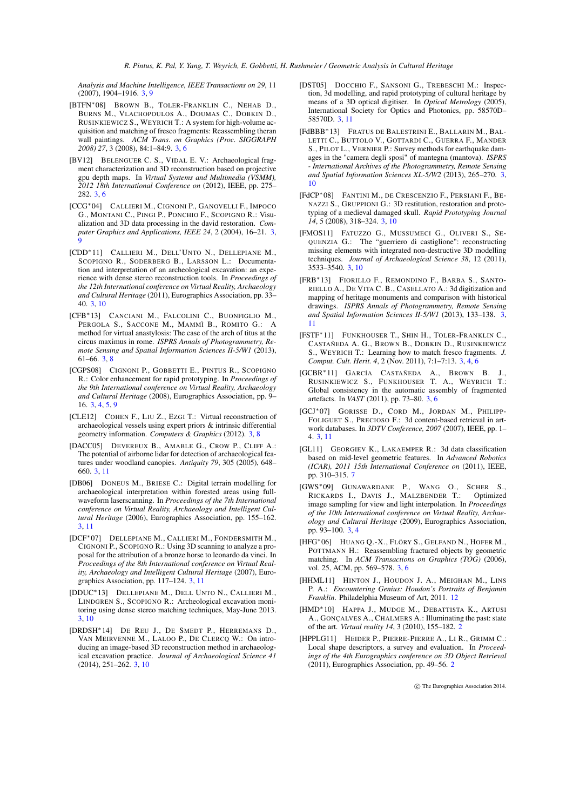*Analysis and Machine Intelligence, IEEE Transactions on 29*, 11 (2007), 1904–1916. [3,](#page-2-1) [9](#page-8-1)

- <span id="page-13-5"></span>[BTFN∗08] BROWN B., TOLER-FRANKLIN C., NEHAB D., BURNS M., VLACHOPOULOS A., DOUMAS C., DOBKIN D., RUSINKIEWICZ S., WEYRICH T.: A system for high-volume acquisition and matching of fresco fragments: Reassembling theran wall paintings. *ACM Trans. on Graphics (Proc. SIGGRAPH 2008) 27*, 3 (2008), 84:1–84:9. [3,](#page-2-1) [6](#page-5-0)
- <span id="page-13-4"></span>[BV12] BELENGUER C. S., VIDAL E. V.: Archaeological fragment characterization and 3D reconstruction based on projective gpu depth maps. In *Virtual Systems and Multimedia (VSMM), 2012 18th International Conference on* (2012), IEEE, pp. 275– 282. [3,](#page-2-1) [6](#page-5-0)
- <span id="page-13-11"></span>[CCG∗04] CALLIERI M., CIGNONI P., GANOVELLI F., IMPOCO G., MONTANI C., PINGI P., PONCHIO F., SCOPIGNO R.: Visualization and 3D data processing in the david restoration. *Computer Graphics and Applications, IEEE 24*, 2 (2004), 16–21. [3,](#page-2-1) [9](#page-8-1)
- <span id="page-13-15"></span>[CDD∗11] CALLIERI M., DELL'UNTO N., DELLEPIANE M., SCOPIGNO R., SODERBERG B., LARSSON L.: Documentation and interpretation of an archeological excavation: an experience with dense stereo reconstruction tools. In *Proceedings of the 12th International conference on Virtual Reality, Archaeology and Cultural Heritage* (2011), Eurographics Association, pp. 33– 40. [3,](#page-2-1) [10](#page-9-0)
- <span id="page-13-9"></span>[CFB∗13] CANCIANI M., FALCOLINI C., BUONFIGLIO M., PERGOLA S., SACCONE M., MAMMÌ B., ROMITO G.: A method for virtual anastylosis: The case of the arch of titus at the circus maximus in rome. *ISPRS Annals of Photogrammetry, Remote Sensing and Spatial Information Sciences II-5/W1* (2013), 61–66. [3,](#page-2-1) [8](#page-7-1)
- <span id="page-13-2"></span>[CGPS08] CIGNONI P., GOBBETTI E., PINTUS R., SCOPIGNO R.: Color enhancement for rapid prototyping. In *Proceedings of the 9th International conference on Virtual Reality, Archaeology and Cultural Heritage* (2008), Eurographics Association, pp. 9– 16. [3,](#page-2-1) [4,](#page-3-3) [5,](#page-4-2) [9](#page-8-1)
- <span id="page-13-10"></span>[CLE12] COHEN F., LIU Z., EZGI T.: Virtual reconstruction of archaeological vessels using expert priors & intrinsic differential geometry information. *Computers & Graphics* (2012). [3,](#page-2-1) [8](#page-7-1)
- <span id="page-13-22"></span>[DACC05] DEVEREUX B., AMABLE G., CROW P., CLIFF A.: The potential of airborne lidar for detection of archaeological features under woodland canopies. *Antiquity 79*, 305 (2005), 648– 660. [3,](#page-2-1) [11](#page-10-1)
- <span id="page-13-21"></span>[DB06] DONEUS M., BRIESE C.: Digital terrain modelling for archaeological interpretation within forested areas using fullwaveform laserscanning. In *Proceedings of the 7th International conference on Virtual Reality, Archaeology and Intelligent Cultural Heritage* (2006), Eurographics Association, pp. 155–162. [3,](#page-2-1) [11](#page-10-1)
- <span id="page-13-19"></span>[DCF∗07] DELLEPIANE M., CALLIERI M., FONDERSMITH M., CIGNONI P., SCOPIGNO R.: Using 3D scanning to analyze a proposal for the attribution of a bronze horse to leonardo da vinci. In *Proceedings of the 8th International conference on Virtual Reality, Archaeology and Intelligent Cultural Heritage* (2007), Eurographics Association, pp. 117–124. [3,](#page-2-1) [11](#page-10-1)
- <span id="page-13-17"></span>[DDUC∗13] DELLEPIANE M., DELL UNTO N., CALLIERI M., LINDGREN S., SCOPIGNO R.: Archeological excavation monitoring using dense stereo matching techniques, May-June 2013. [3,](#page-2-1) [10](#page-9-0)
- <span id="page-13-16"></span>[DRDSH∗14] DE REU J., DE SMEDT P., HERREMANS D., VAN MEIRVENNE M., LALOO P., DE CLERCQ W.: On introducing an image-based 3D reconstruction method in archaeological excavation practice. *Journal of Archaeological Science 41*  $(2014)$ ,  $251-262$ . [3,](#page-2-1) [10](#page-9-0)
- <span id="page-13-20"></span>[DST05] DOCCHIO F., SANSONI G., TREBESCHI M.: Inspection, 3d modelling, and rapid prototyping of cultural heritage by means of a 3D optical digitiser. In *Optical Metrology* (2005), International Society for Optics and Photonics, pp. 58570D– 58570D. [3,](#page-2-1) [11](#page-10-1)
- <span id="page-13-14"></span>[FdBBB∗13] FRATUS DE BALESTRINI E., BALLARIN M., BAL-LETTI C., BUTTOLO V., GOTTARDI C., GUERRA F., MANDER S., PILOT L., VERNIER P.: Survey methods for earthquake damages in the "camera degli sposi" of mantegna (mantova). *ISPRS - International Archives of the Photogrammetry, Remote Sensing and Spatial Information Sciences XL-5/W2* (2013), 265–270. [3,](#page-2-1) [10](#page-9-0)
- <span id="page-13-12"></span>[FdCP∗08] FANTINI M., DE CRESCENZIO F., PERSIANI F., BE-NAZZI S., GRUPPIONI G.: 3D restitution, restoration and prototyping of a medieval damaged skull. *Rapid Prototyping Journal 14*, 5 (2008), 318–324. [3,](#page-2-1) [10](#page-9-0)
- <span id="page-13-13"></span>[FMOS11] FATUZZO G., MUSSUMECI G., OLIVERI S., SE-QUENZIA G.: The "guerriero di castiglione": reconstructing missing elements with integrated non-destructive 3D modelling techniques. *Journal of Archaeological Science 38*, 12 (2011), 3533–3540. [3,](#page-2-1) [10](#page-9-0)
- <span id="page-13-18"></span>[FRB∗13] FIORILLO F., REMONDINO F., BARBA S., SANTO-RIELLO A., DE VITA C. B., CASELLATO A.: 3d digitization and mapping of heritage monuments and comparison with historical drawings. *ISPRS Annals of Photogrammetry, Remote Sensing and Spatial Information Sciences II-5/W1* (2013), 133–138. [3,](#page-2-1) [11](#page-10-1)
- <span id="page-13-6"></span>[FSTF∗11] FUNKHOUSER T., SHIN H., TOLER-FRANKLIN C., CASTAÑEDA A. G., BROWN B., DOBKIN D., RUSINKIEWICZ S., WEYRICH T.: Learning how to match fresco fragments. *J. Comput. Cult. Herit. 4*, 2 (Nov. 2011), 7:1–7:13. [3,](#page-2-1) [4,](#page-3-3) [6](#page-5-0)
- <span id="page-13-7"></span>[GCBR∗11] GARCÍA CASTAÑEDA A., BROWN B. J., RUSINKIEWICZ S., FUNKHOUSER T. A., WEYRICH T.: Global consistency in the automatic assembly of fragmented artefacts. In *VAST* (2011), pp. 73–80. [3,](#page-2-1) [6](#page-5-0)
- <span id="page-13-23"></span>[GCJ∗07] GORISSE D., CORD M., JORDAN M., PHILIPP-FOLIGUET S., PRECIOSO F.: 3d content-based retrieval in artwork databases. In *3DTV Conference, 2007* (2007), IEEE, pp. 1– 4. [3,](#page-2-1) [11](#page-10-1)
- <span id="page-13-24"></span>[GL11] GEORGIEV K., LAKAEMPER R.: 3d data classification based on mid-level geometric features. In *Advanced Robotics (ICAR), 2011 15th International Conference on* (2011), IEEE, pp. 310–315. [7](#page-6-2)
- <span id="page-13-3"></span>[GWS∗09] GUNAWARDANE P., WANG O., SCHER S., RICKARDS I., DAVIS J., MALZBENDER T.: Optimized image sampling for view and light interpolation. In *Proceedings of the 10th International conference on Virtual Reality, Archaeology and Cultural Heritage* (2009), Eurographics Association, pp. 93–100. [3,](#page-2-1) [4](#page-3-3)
- <span id="page-13-8"></span>[HFG∗06] HUANG Q.-X., FLÖRY S., GELFAND N., HOFER M., POTTMANN H.: Reassembling fractured objects by geometric matching. In *ACM Transactions on Graphics (TOG)* (2006), vol. 25, ACM, pp. 569–578. [3,](#page-2-1) [6](#page-5-0)
- <span id="page-13-25"></span>[HHML11] HINTON J., HOUDON J. A., MEIGHAN M., LINS P. A.: *Encountering Genius: Houdon's Portraits of Benjamin Franklin*. Philadelphia Museum of Art, 2011. [12](#page-11-0)
- <span id="page-13-0"></span>[HMD∗10] HAPPA J., MUDGE M., DEBATTISTA K., ARTUSI A., GONÇALVES A., CHALMERS A.: Illuminating the past: state of the art. *Virtual reality 14*, 3 (2010), 155–182. [2](#page-1-2)
- <span id="page-13-1"></span>[HPPLG11] HEIDER P., PIERRE-PIERRE A., LI R., GRIMM C.: Local shape descriptors, a survey and evaluation. In *Proceedings of the 4th Eurographics conference on 3D Object Retrieval* (2011), Eurographics Association, pp. 49–56. [2](#page-1-2)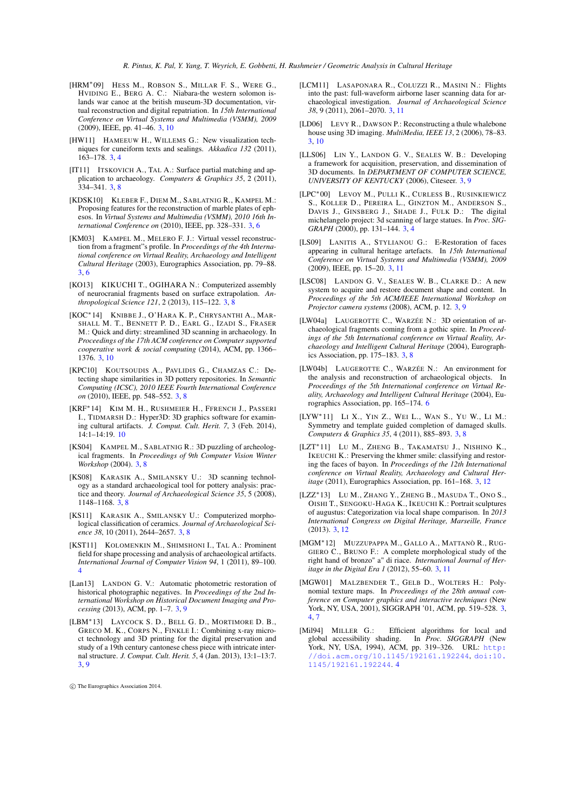- <span id="page-14-14"></span>[HRM∗09] HESS M., ROBSON S., MILLAR F. S., WERE G., HVIDING E., BERG A. C.: Niabara-the western solomon islands war canoe at the british museum-3D documentation, virtual reconstruction and digital repatriation. In *15th International Conference on Virtual Systems and Multimedia (VSMM), 2009* (2009), IEEE, pp. 41–46. [3,](#page-2-1) [10](#page-9-0)
- <span id="page-14-0"></span>[HW11] HAMEEUW H., WILLEMS G.: New visualization techniques for cuneiform texts and sealings. *Akkadica 132* (2011), 163–178. [3,](#page-2-1) [4](#page-3-3)
- <span id="page-14-9"></span>[IT11] ITSKOVICH A., TAL A.: Surface partial matching and application to archaeology. *Computers & Graphics 35*, 2 (2011), 334–341. [3,](#page-2-1) [8](#page-7-1)
- <span id="page-14-4"></span>[KDSK10] KLEBER F., DIEM M., SABLATNIG R., KAMPEL M.: Proposing features for the reconstruction of marble plates of ephesos. In *Virtual Systems and Multimedia (VSMM), 2010 16th International Conference on* (2010), IEEE, pp. 328–331. [3,](#page-2-1) [6](#page-5-0)
- <span id="page-14-3"></span>[KM03] KAMPEL M., MELERO F. J.: Virtual vessel reconstruction from a fragment"s profile. In *Proceedings of the 4th International conference on Virtual Reality, Archaeology and Intelligent Cultural Heritage* (2003), Eurographics Association, pp. 79–88. [3,](#page-2-1) [6](#page-5-0)
- <span id="page-14-6"></span>[KO13] KIKUCHI T., OGIHARA N.: Computerized assembly of neurocranial fragments based on surface extrapolation. *Anthropological Science 121*, 2 (2013), 115–122. [3,](#page-2-1) [8](#page-7-1)
- <span id="page-14-21"></span>[KOC∗14] KNIBBE J., O'HARA K. P., CHRYSANTHI A., MAR-SHALL M. T., BENNETT P. D., EARL G., IZADI S., FRASER M.: Quick and dirty: streamlined 3D scanning in archaeology. In *Proceedings of the 17th ACM conference on Computer supported cooperative work & social computing* (2014), ACM, pp. 1366– 1376. [3,](#page-2-1) [10](#page-9-0)
- <span id="page-14-12"></span>[KPC10] KOUTSOUDIS A., PAVLIDIS G., CHAMZAS C.: Detecting shape similarities in 3D pottery repositories. In *Semantic Computing (ICSC), 2010 IEEE Fourth International Conference on* (2010), IEEE, pp. 548–552. [3,](#page-2-1) [8](#page-7-1)
- <span id="page-14-28"></span>[KRF∗14] KIM M. H., RUSHMEIER H., FFRENCH J., PASSERI I., TIDMARSH D.: Hyper3D: 3D graphics software for examining cultural artifacts. *J. Comput. Cult. Herit. 7*, 3 (Feb. 2014), 14:1–14:19. [10](#page-9-0)
- <span id="page-14-5"></span>[KS04] KAMPEL M., SABLATNIG R.: 3D puzzling of archeological fragments. In *Proceedings of 9th Computer Vision Winter Workshop* (2004). [3,](#page-2-1) [8](#page-7-1)
- <span id="page-14-10"></span>[KS08] KARASIK A., SMILANSKY U.: 3D scanning technology as a standard archaeological tool for pottery analysis: practice and theory. *Journal of Archaeological Science 35*, 5 (2008), 1148–1168. [3,](#page-2-1) [8](#page-7-1)
- <span id="page-14-11"></span>[KS11] KARASIK A., SMILANSKY U.: Computerized morphological classification of ceramics. *Journal of Archaeological Science 38*, 10 (2011), 2644–2657. [3,](#page-2-1) [8](#page-7-1)
- <span id="page-14-25"></span>[KST11] KOLOMENKIN M., SHIMSHONI I., TAL A.: Prominent field for shape processing and analysis of archaeological artifacts. *International Journal of Computer Vision 94*, 1 (2011), 89–100. [4](#page-3-3)
- <span id="page-14-16"></span>[Lan13] LANDON G. V.: Automatic photometric restoration of historical photographic negatives. In *Proceedings of the 2nd International Workshop on Historical Document Imaging and Processing* (2013), ACM, pp. 1–7. [3,](#page-2-1) [9](#page-8-1)
- <span id="page-14-13"></span>[LBM∗13] LAYCOCK S. D., BELL G. D., MORTIMORE D. B., GRECO M. K., CORPS N., FINKLE I.: Combining x-ray microct technology and 3D printing for the digital preservation and study of a 19th century cantonese chess piece with intricate internal structure. *J. Comput. Cult. Herit. 5*, 4 (Jan. 2013), 13:1–13:7. [3,](#page-2-1) [9](#page-8-1)

- <span id="page-14-22"></span>[LCM11] LASAPONARA R., COLUZZI R., MASINI N.: Flights into the past: full-waveform airborne laser scanning data for archaeological investigation. *Journal of Archaeological Science 38*, 9 (2011), 2061–2070. [3,](#page-2-1) [11](#page-10-1)
- <span id="page-14-17"></span>[LD06] LEVY R., DAWSON P.: Reconstructing a thule whalebone house using 3D imaging. *MultiMedia, IEEE 13*, 2 (2006), 78–83. [3,](#page-2-1) [10](#page-9-0)
- <span id="page-14-18"></span>[LLS06] LIN Y., LANDON G. V., SEALES W. B.: Developing a framework for acquisition, preservation, and dissemination of 3D documents. In *DEPARTMENT OF COMPUTER SCIENCE, UNIVERSITY OF KENTUCKY* (2006), Citeseer. [3,](#page-2-1) [9](#page-8-1)
- <span id="page-14-1"></span>[LPC∗00] LEVOY M., PULLI K., CURLESS B., RUSINKIEWICZ S., KOLLER D., PEREIRA L., GINZTON M., ANDERSON S., DAVIS J., GINSBERG J., SHADE J., FULK D.: The digital michelangelo project: 3d scanning of large statues. In *Proc. SIG-GRAPH* (2000), pp. 131–144. [3,](#page-2-1) [4](#page-3-3)
- <span id="page-14-19"></span>[LS09] LANITIS A., STYLIANOU G.: E-Restoration of faces appearing in cultural heritage artefacts. In *15th International Conference on Virtual Systems and Multimedia (VSMM), 2009* (2009), IEEE, pp. 15–20. [3,](#page-2-1) [11](#page-10-1)
- <span id="page-14-15"></span>[LSC08] LANDON G. V., SEALES W. B., CLARKE D.: A new system to acquire and restore document shape and content. In *Proceedings of the 5th ACM/IEEE International Workshop on Projector camera systems* (2008), ACM, p. 12. [3,](#page-2-1) [9](#page-8-1)
- <span id="page-14-7"></span>[LW04a] LAUGEROTTE C., WARZÉE N.: 3D orientation of archaeological fragments coming from a gothic spire. In *Proceedings of the 5th International conference on Virtual Reality, Archaeology and Intelligent Cultural Heritage* (2004), Eurographics Association, pp. 175–183. [3,](#page-2-1) [8](#page-7-1)
- <span id="page-14-27"></span>[LW04b] LAUGEROTTE C., WARZÉE N.: An environment for the analysis and reconstruction of archaeological objects. In *Proceedings of the 5th International conference on Virtual Reality, Archaeology and Intelligent Cultural Heritage* (2004), Eurographics Association, pp. 165–174. [6](#page-5-0)
- <span id="page-14-8"></span>[LYW∗11] LI X., YIN Z., WEI L., WAN S., YU W., LI M.: Symmetry and template guided completion of damaged skulls. *Computers & Graphics 35*, 4 (2011), 885–893. [3,](#page-2-1) [8](#page-7-1)
- <span id="page-14-20"></span>[LZT∗11] LU M., ZHENG B., TAKAMATSU J., NISHINO K., IKEUCHI K.: Preserving the khmer smile: classifying and restoring the faces of bayon. In *Proceedings of the 12th International conference on Virtual Reality, Archaeology and Cultural Heritage* (2011), Eurographics Association, pp. 161–168. [3,](#page-2-1) [12](#page-11-0)
- <span id="page-14-24"></span>[LZZ∗13] LU M., ZHANG Y., ZHENG B., MASUDA T., ONO S., OISHI T., SENGOKU-HAGA K., IKEUCHI K.: Portrait sculptures of augustus: Categorization via local shape comparison. In *2013 International Congress on Digital Heritage, Marseille, France* (2013). [3,](#page-2-1) [12](#page-11-0)
- <span id="page-14-23"></span>[MGM∗12] MUZZUPAPPA M., GALLO A., MATTANÒ R., RUG-GIERO C., BRUNO F.: A complete morphological study of the right hand of bronzo" a" di riace. *International Journal of Heritage in the Digital Era 1* (2012), 55–60. [3,](#page-2-1) [11](#page-10-1)
- <span id="page-14-2"></span>[MGW01] MALZBENDER T., GELB D., WOLTERS H.: Polynomial texture maps. In *Proceedings of the 28th annual conference on Computer graphics and interactive techniques* (New York, NY, USA, 2001), SIGGRAPH '01, ACM, pp. 519–528. [3,](#page-2-1) [4,](#page-3-3) [7](#page-6-2)
- <span id="page-14-26"></span>[Mil94] MILLER G.: Efficient algorithms for local and global accessibility shading. In *Proc. SIGGRAPH* (New York, NY, USA, 1994), ACM, pp. 319–326. URL: [http:](http://doi.acm.org/10.1145/192161.192244) [//doi.acm.org/10.1145/192161.192244](http://doi.acm.org/10.1145/192161.192244), [doi:10.](http://dx.doi.org/10.1145/192161.192244) [1145/192161.192244](http://dx.doi.org/10.1145/192161.192244). [4](#page-3-3)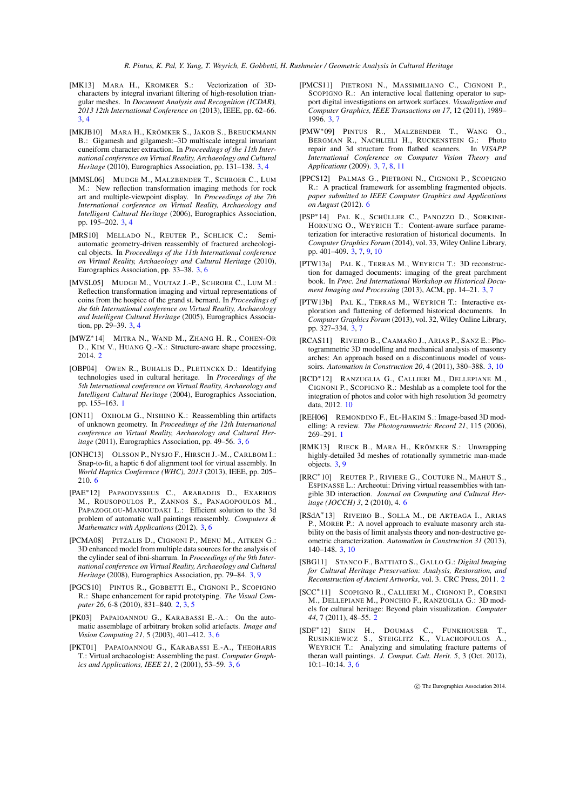- <span id="page-15-7"></span>[MK13] MARA H., KROMKER S.: Vectorization of 3Dcharacters by integral invariant filtering of high-resolution triangular meshes. In *Document Analysis and Recognition (ICDAR), 2013 12th International Conference on* (2013), IEEE, pp. 62–66. [3,](#page-2-1) [4](#page-3-3)
- <span id="page-15-6"></span>[MKJB10] MARA H., KRÖMKER S., JAKOB S., BREUCKMANN B.: Gigamesh and gilgamesh:–3D multiscale integral invariant cuneiform character extraction. In *Proceedings of the 11th International conference on Virtual Reality, Archaeology and Cultural Heritage* (2010), Eurographics Association, pp. 131–138. [3,](#page-2-1) [4](#page-3-3)
- <span id="page-15-9"></span>[MMSL06] MUDGE M., MALZBENDER T., SCHROER C., LUM M.: New reflection transformation imaging methods for rock art and multiple-viewpoint display. In *Proceedings of the 7th International conference on Virtual Reality, Archaeology and Intelligent Cultural Heritage* (2006), Eurographics Association, pp. 195–202. [3,](#page-2-1) [4](#page-3-3)
- <span id="page-15-10"></span>[MRS10] MELLADO N., REUTER P., SCHLICK C.: Semiautomatic geometry-driven reassembly of fractured archeological objects. In *Proceedings of the 11th International conference on Virtual Reality, Archaeology and Cultural Heritage* (2010), Eurographics Association, pp. 33–38. [3,](#page-2-1) [6](#page-5-0)
- <span id="page-15-8"></span>[MVSL05] MUDGE M., VOUTAZ J.-P., SCHROER C., LUM M.: Reflection transformation imaging and virtual representations of coins from the hospice of the grand st. bernard. In *Proceedings of the 6th International conference on Virtual Reality, Archaeology and Intelligent Cultural Heritage* (2005), Eurographics Association, pp. 29–39. [3,](#page-2-1) [4](#page-3-3)
- <span id="page-15-4"></span>[MWZ∗14] MITRA N., WAND M., ZHANG H. R., COHEN-OR D., KIM V., HUANG Q.-X.: Structure-aware shape processing, 2014. [2](#page-1-2)
- <span id="page-15-1"></span>[OBP04] OWEN R., BUHALIS D., PLETINCKX D.: Identifying technologies used in cultural heritage. In *Proceedings of the 5th International conference on Virtual Reality, Archaeology and Intelligent Cultural Heritage* (2004), Eurographics Association, pp. 155–163. [1](#page-0-0)
- <span id="page-15-11"></span>[ON11] OXHOLM G., NISHINO K.: Reassembling thin artifacts of unknown geometry. In *Proceedings of the 12th International conference on Virtual Reality, Archaeology and Cultural Heritage* (2011), Eurographics Association, pp. 49–56. [3,](#page-2-1) [6](#page-5-0)
- <span id="page-15-27"></span>[ONHC13] OLSSON P., NYSJO F., HIRSCH J.-M., CARLBOM I.: Snap-to-fit, a haptic 6 dof alignment tool for virtual assembly. In *World Haptics Conference (WHC), 2013* (2013), IEEE, pp. 205– 210. [6](#page-5-0)
- <span id="page-15-14"></span>[PAE∗12] PAPAODYSSEUS C., ARABADJIS D., EXARHOS M., ROUSOPOULOS P., ZANNOS S., PANAGOPOULOS M., PAPAZOGLOU-MANIOUDAKI L.: Efficient solution to the 3d problem of automatic wall paintings reassembly. *Computers & Mathematics with Applications* (2012). [3,](#page-2-1) [6](#page-5-0)
- <span id="page-15-21"></span>[PCMA08] PITZALIS D., CIGNONI P., MENU M., AITKEN G.: 3D enhanced model from multiple data sources for the analysis of the cylinder seal of ibni-sharrum. In *Proceedings of the 9th International conference on Virtual Reality, Archaeology and Cultural Heritage* (2008), Eurographics Association, pp. 79–84. [3,](#page-2-1) [9](#page-8-1)
- <span id="page-15-5"></span>[PGCS10] PINTUS R., GOBBETTI E., CIGNONI P., SCOPIGNO R.: Shape enhancement for rapid prototyping. *The Visual Computer 26*, 6-8 (2010), 831–840. [2,](#page-1-2) [3,](#page-2-1) [5](#page-4-2)
- <span id="page-15-13"></span>[PK03] PAPAIOANNOU G., KARABASSI E.-A.: On the automatic assemblage of arbitrary broken solid artefacts. *Image and Vision Computing 21*, 5 (2003), 401–412. [3,](#page-2-1) [6](#page-5-0)
- <span id="page-15-12"></span>[PKT01] PAPAIOANNOU G., KARABASSI E.-A., THEOHARIS T.: Virtual archaeologist: Assembling the past. *Computer Graphics and Applications, IEEE 21*, 2 (2001), 53–59. [3,](#page-2-1) [6](#page-5-0)
- <span id="page-15-19"></span>[PMCS11] PIETRONI N., MASSIMILIANO C., CIGNONI P., SCOPIGNO R.: An interactive local flattening operator to support digital investigations on artwork surfaces. *Visualization and Computer Graphics, IEEE Transactions on 17*, 12 (2011), 1989– 1996. [3,](#page-2-1) [7](#page-6-2)
- <span id="page-15-20"></span>[PMW∗09] PINTUS R., MALZBENDER T., WANG O., BERGMAN R., NACHLIELI H., RUCKENSTEIN G.: repair and 3d structure from flatbed scanners. In *VISAPP International Conference on Computer Vision Theory and Applications* (2009). [3,](#page-2-1) [7,](#page-6-2) [8,](#page-7-1) [11](#page-10-1)
- <span id="page-15-25"></span>[PPCS12] PALMAS G., PIETRONI N., CIGNONI P., SCOPIGNO R.: A practical framework for assembling fragmented objects. *paper submitted to IEEE Computer Graphics and Applications on August* (2012). [6](#page-5-0)
- <span id="page-15-18"></span>[PSP∗14] PAL K., SCHÜLLER C., PANOZZO D., SORKINE-HORNUNG O., WEYRICH T.: Content-aware surface parameterization for interactive restoration of historical documents. In *Computer Graphics Forum* (2014), vol. 33, Wiley Online Library, pp. 401–409. [3,](#page-2-1) [7,](#page-6-2) [9,](#page-8-1) [10](#page-9-0)
- <span id="page-15-16"></span>[PTW13a] PAL K., TERRAS M., WEYRICH T.: 3D reconstruction for damaged documents: imaging of the great parchment book. In *Proc. 2nd International Workshop on Historical Document Imaging and Processing* (2013), ACM, pp. 14–21. [3,](#page-2-1) [7](#page-6-2)
- <span id="page-15-17"></span>[PTW13b] PAL K., TERRAS M., WEYRICH T.: Interactive exploration and flattening of deformed historical documents. In *Computer Graphics Forum* (2013), vol. 32, Wiley Online Library, pp. 327–334. [3,](#page-2-1) [7](#page-6-2)
- <span id="page-15-23"></span>[RCAS11] RIVEIRO B., CAAMAÑO J., ARIAS P., SANZ E.: Photogrammetric 3D modelling and mechanical analysis of masonry arches: An approach based on a discontinuous model of voussoirs. *Automation in Construction 20*, 4 (2011), 380–388. [3,](#page-2-1) [10](#page-9-0)
- <span id="page-15-28"></span>[RCD∗12] RANZUGLIA G., CALLIERI M., DELLEPIANE M., CIGNONI P., SCOPIGNO R.: Meshlab as a complete tool for the integration of photos and color with high resolution 3d geometry data, 2012. [10](#page-9-0)
- <span id="page-15-0"></span>[REH06] REMONDINO F., EL-HAKIM S.: Image-based 3D modelling: A review. *The Photogrammetric Record 21*, 115 (2006), 269–291. [1](#page-0-0)
- <span id="page-15-22"></span>[RMK13] RIECK B., MARA H., KRÖMKER S.: Unwrapping highly-detailed 3d meshes of rotationally symmetric man-made objects. [3,](#page-2-1) [9](#page-8-1)
- <span id="page-15-26"></span>[RRC∗10] REUTER P., RIVIERE G., COUTURE N., MAHUT S., ESPINASSE L.: Archeotui: Driving virtual reassemblies with tangible 3D interaction. *Journal on Computing and Cultural Heritage (JOCCH) 3*, 2 (2010), 4. [6](#page-5-0)
- <span id="page-15-24"></span>[RSdA∗13] RIVEIRO B., SOLLA M., DE ARTEAGA I., ARIAS P., MORER P.: A novel approach to evaluate masonry arch stability on the basis of limit analysis theory and non-destructive geometric characterization. *Automation in Construction 31* (2013), 140–148. [3,](#page-2-1) [10](#page-9-0)
- <span id="page-15-2"></span>[SBG11] STANCO F., BATTIATO S., GALLO G.: *Digital Imaging for Cultural Heritage Preservation: Analysis, Restoration, and Reconstruction of Ancient Artworks*, vol. 3. CRC Press, 2011. [2](#page-1-2)
- <span id="page-15-3"></span>[SCC∗11] SCOPIGNO R., CALLIERI M., CIGNONI P., CORSINI M., DELLEPIANE M., PONCHIO F., RANZUGLIA G.: 3D models for cultural heritage: Beyond plain visualization. *Computer 44*, 7 (2011), 48–55. [2](#page-1-2)
- <span id="page-15-15"></span>[SDF∗12] SHIN H., DOUMAS C., FUNKHOUSER T., RUSINKIEWICZ S., STEIGLITZ K., VLACHOPOULOS A., WEYRICH T.: Analyzing and simulating fracture patterns of theran wall paintings. *J. Comput. Cult. Herit. 5*, 3 (Oct. 2012),  $10:1-10:14.$  [3,](#page-2-1) [6](#page-5-0)